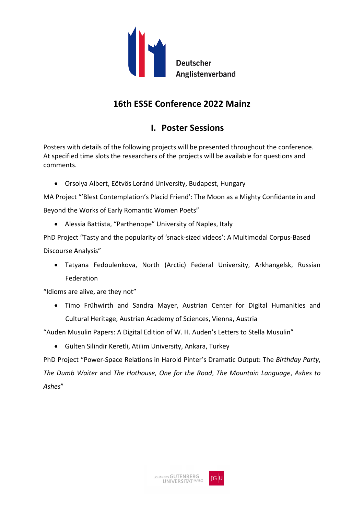

# **16th ESSE Conference 2022 Mainz**

# **I. Poster Sessions**

Posters with details of the following projects will be presented throughout the conference. At specified time slots the researchers of the projects will be available for questions and comments.

• Orsolya Albert, Eötvös Loránd University, Budapest, Hungary

MA Project "'Blest Contemplation's Placid Friend': The Moon as a Mighty Confidante in and Beyond the Works of Early Romantic Women Poets"

• Alessia Battista, "Parthenope" University of Naples, Italy

PhD Project "Tasty and the popularity of 'snack-sized videos': A Multimodal Corpus-Based Discourse Analysis"

• Tatyana Fedoulenkova, North (Arctic) Federal University, Arkhangelsk, Russian Federation

"Idioms are alive, are they not"

• Timo Frühwirth and Sandra Mayer, Austrian Center for Digital Humanities and Cultural Heritage, Austrian Academy of Sciences, Vienna, Austria

"Auden Musulin Papers: A Digital Edition of W. H. Auden's Letters to Stella Musulin"

• Gülten Silindir Keretli, Atilim University, Ankara, Turkey

PhD Project "Power-Space Relations in Harold Pinter's Dramatic Output: The *Birthday Party*, *The Dumb Waiter* and *The Hothouse, One for the Road*, *The Mountain Language*, *Ashes to Ashes*"

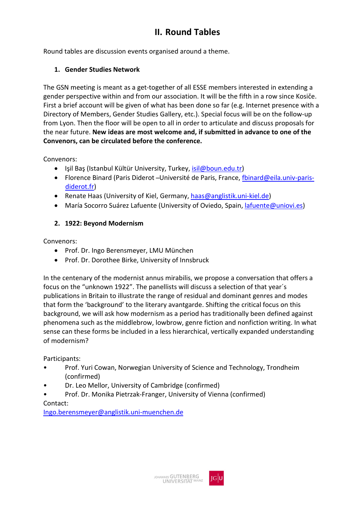# **II. Round Tables**

Round tables are discussion events organised around a theme.

#### **1. Gender Studies Network**

The GSN meeting is meant as a get-together of all ESSE members interested in extending a gender perspective within and from our association. It will be the fifth in a row since Kosiče. First a brief account will be given of what has been done so far (e.g. Internet presence with a Directory of Members, Gender Studies Gallery, etc.). Special focus will be on the follow-up from Lyon. Then the floor will be open to all in order to articulate and discuss proposals for the near future. **New ideas are most welcome and, if submitted in advance to one of the Convenors, can be circulated before the conference.**

Convenors:

- Işil Baş (Istanbul Kültür University, Turkey, [isil@boun.edu.tr\)](mailto:isil@boun.edu.tr)
- Florence Binard (Paris Diderot Université de Paris, France, [fbinard@eila.univ-paris](mailto:fbinard@eila.univ-paris-diderot.fr)[diderot.fr\)](mailto:fbinard@eila.univ-paris-diderot.fr)
- Renate Haas (University of Kiel, Germany, [haas@anglistik.uni-kiel.de\)](mailto:haas@anglistik.uni-kiel.de)
- María Socorro Suárez Lafuente (University of Oviedo, Spain, [lafuente@uniovi.es\)](mailto:lafuente@uniovi.es)

#### **2. 1922: Beyond Modernism**

Convenors:

- Prof. Dr. Ingo Berensmeyer, LMU München
- Prof. Dr. Dorothee Birke, University of Innsbruck

In the centenary of the modernist annus mirabilis, we propose a conversation that offers a focus on the "unknown 1922". The panellists will discuss a selection of that year´s publications in Britain to illustrate the range of residual and dominant genres and modes that form the 'background' to the literary avantgarde. Shifting the critical focus on this background, we will ask how modernism as a period has traditionally been defined against phenomena such as the middlebrow, lowbrow, genre fiction and nonfiction writing. In what sense can these forms be included in a less hierarchical, vertically expanded understanding of modernism?

Participants:

- Prof. Yuri Cowan, Norwegian University of Science and Technology, Trondheim (confirmed)
- Dr. Leo Mellor, University of Cambridge (confirmed)
- Prof. Dr. Monika Pietrzak-Franger, University of Vienna (confirmed)

#### Contact:

[Ingo.berensmeyer@anglistik.uni-muenchen.de](mailto:Ingo.berensmeyer@anglistik.uni-muenchen.de)

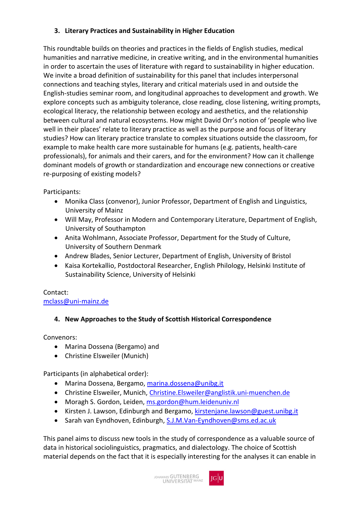## **3. Literary Practices and Sustainability in Higher Education**

This roundtable builds on theories and practices in the fields of English studies, medical humanities and narrative medicine, in creative writing, and in the environmental humanities in order to ascertain the uses of literature with regard to sustainability in higher education. We invite a broad definition of sustainability for this panel that includes interpersonal connections and teaching styles, literary and critical materials used in and outside the English-studies seminar room, and longitudinal approaches to development and growth. We explore concepts such as ambiguity tolerance, close reading, close listening, writing prompts, ecological literacy, the relationship between ecology and aesthetics, and the relationship between cultural and natural ecosystems. How might David Orr's notion of 'people who live well in their places' relate to literary practice as well as the purpose and focus of literary studies? How can literary practice translate to complex situations outside the classroom, for example to make health care more sustainable for humans (e.g. patients, health-care professionals), for animals and their carers, and for the environment? How can it challenge dominant models of growth or standardization and encourage new connections or creative re-purposing of existing models?

Participants:

- Monika Class (convenor), Junior Professor, Department of English and Linguistics, University of Mainz
- Will May, Professor in Modern and Contemporary Literature, Department of English, University of Southampton
- Anita Wohlmann, Associate Professor, Department for the Study of Culture, University of Southern Denmark
- Andrew Blades, Senior Lecturer, Department of English, University of Bristol
- Kaisa Kortekallio, Postdoctoral Researcher, English Philology, Helsinki Institute of Sustainability Science, University of Helsinki

#### Contact: [mclass@uni-mainz.de](mailto:mclass@uni-mainz.de)

# **4. New Approaches to the Study of Scottish Historical Correspondence**

Convenors:

- Marina Dossena (Bergamo) and
- Christine Elsweiler (Munich)

Participants (in alphabetical order):

- Marina Dossena, Bergamo, [marina.dossena@unibg.it](mailto:marina.dossena@unibg.it)
- Christine Elsweiler, Munich, [Christine.Elsweiler@anglistik.uni-muenchen.de](mailto:Christine.Elsweiler@anglistik.uni-muenchen.de)
- Moragh S. Gordon, Leiden, [ms.gordon@hum.leidenuniv.nl](mailto:ms.gordon@hum.leidenuniv.nl)
- Kirsten J. Lawson, Edinburgh and Bergamo, [kirstenjane.lawson@guest.unibg.it](mailto:kirstenjane.lawson@guest.unibg.it)
- Sarah van Eyndhoven, Edinburgh, [S.J.M.Van-Eyndhoven@sms.ed.ac.uk](mailto:S.J.M.Van-Eyndhoven@sms.ed.ac.uk)

This panel aims to discuss new tools in the study of correspondence as a valuable source of data in historical sociolinguistics, pragmatics, and dialectology. The choice of Scottish material depends on the fact that it is especially interesting for the analyses it can enable in

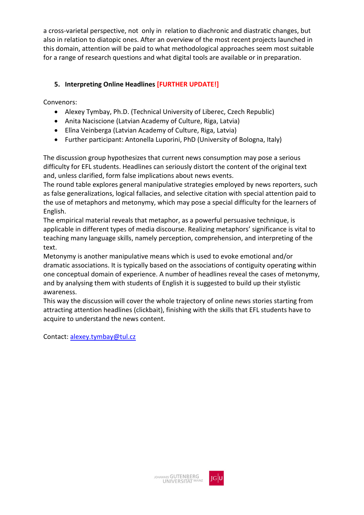a cross-varietal perspective, not only in relation to diachronic and diastratic changes, but also in relation to diatopic ones. After an overview of the most recent projects launched in this domain, attention will be paid to what methodological approaches seem most suitable for a range of research questions and what digital tools are available or in preparation.

# **5. Interpreting Online Headlines [FURTHER UPDATE!]**

Convenors:

- Alexey Tymbay, Ph.D. (Technical University of Liberec, Czech Republic)
- Anita Naciscione (Latvian Academy of Culture, Riga, Latvia)
- Elīna Veinberga (Latvian Academy of Culture, Riga, Latvia)
- Further participant: Antonella Luporini, PhD (University of Bologna, Italy)

The discussion group hypothesizes that current news consumption may pose a serious difficulty for EFL students. Headlines can seriously distort the content of the original text and, unless clarified, form false implications about news events.

The round table explores general manipulative strategies employed by news reporters, such as false generalizations, logical fallacies, and selective citation with special attention paid to the use of metaphors and metonymy, which may pose a special difficulty for the learners of English.

The empirical material reveals that metaphor, as a powerful persuasive technique, is applicable in different types of media discourse. Realizing metaphors' significance is vital to teaching many language skills, namely perception, comprehension, and interpreting of the text.

Metonymy is another manipulative means which is used to evoke emotional and/or dramatic associations. It is typically based on the associations of contiguity operating within one conceptual domain of experience. A number of headlines reveal the cases of metonymy, and by analysing them with students of English it is suggested to build up their stylistic awareness.

This way the discussion will cover the whole trajectory of online news stories starting from attracting attention headlines (clickbait), finishing with the skills that EFL students have to acquire to understand the news content.

Contact[: alexey.tymbay@tul.cz](mailto:alexey.tymbay@tul.cz)

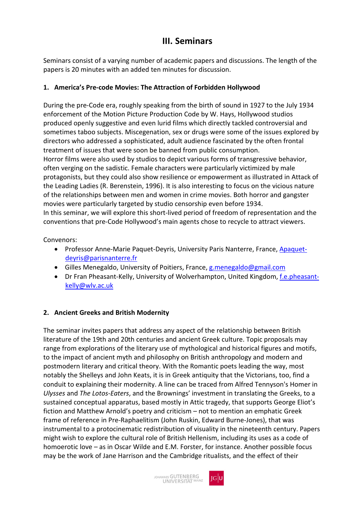# **III. Seminars**

Seminars consist of a varying number of academic papers and discussions. The length of the papers is 20 minutes with an added ten minutes for discussion.

#### **1. America's Pre-code Movies: The Attraction of Forbidden Hollywood**

During the pre-Code era, roughly speaking from the birth of sound in 1927 to the July 1934 enforcement of the Motion Picture Production Code by W. Hays, Hollywood studios produced openly suggestive and even lurid films which directly tackled controversial and sometimes taboo subjects. Miscegenation, sex or drugs were some of the issues explored by directors who addressed a sophisticated, adult audience fascinated by the often frontal treatment of issues that were soon be banned from public consumption. Horror films were also used by studios to depict various forms of transgressive behavior, often verging on the sadistic. Female characters were particularly victimized by male protagonists, but they could also show resilience or empowerment as illustrated in Attack of the Leading Ladies (R. Berenstein, 1996). It is also interesting to focus on the vicious nature of the relationships between men and women in crime movies. Both horror and gangster movies were particularly targeted by studio censorship even before 1934. In this seminar, we will explore this short-lived period of freedom of representation and the conventions that pre-Code Hollywood's main agents chose to recycle to attract viewers.

Convenors:

- Professor Anne-Marie Paquet-Deyris, University Paris Nanterre, France, [Apaquet](mailto:Apaquet-deyris@parisnanterre.fr)[deyris@parisnanterre.fr](mailto:Apaquet-deyris@parisnanterre.fr)
- Gilles Menegaldo, University of Poitiers, France, [g.menegaldo@gmail.com](mailto:g.menegaldo@gmail.com)
- Dr Fran Pheasant-Kelly, University of Wolverhampton, United Kingdom[, f.e.pheasant](mailto:f.e.pheasant-kelly@wlv.ac.uk)[kelly@wlv.ac.uk](mailto:f.e.pheasant-kelly@wlv.ac.uk)

#### **2. Ancient Greeks and British Modernity**

The seminar invites papers that address any aspect of the relationship between British literature of the 19th and 20th centuries and ancient Greek culture. Topic proposals may range from explorations of the literary use of mythological and historical figures and motifs, to the impact of ancient myth and philosophy on British anthropology and modern and postmodern literary and critical theory. With the Romantic poets leading the way, most notably the Shelleys and John Keats, it is in Greek antiquity that the Victorians, too, find a conduit to explaining their modernity. A line can be traced from Alfred Tennyson's Homer in *Ulysses* and *The Lotos-Eaters*, and the Brownings' investment in translating the Greeks, to a sustained conceptual apparatus, based mostly in Attic tragedy, that supports George Eliot's fiction and Matthew Arnold's poetry and criticism – not to mention an emphatic Greek frame of reference in Pre-Raphaelitism (John Ruskin, Edward Burne-Jones), that was instrumental to a protocinematic redistribution of visuality in the nineteenth century. Papers might wish to explore the cultural role of British Hellenism, including its uses as a code of homoerotic love – as in Oscar Wilde and E.M. Forster, for instance. Another possible focus may be the work of Jane Harrison and the Cambridge ritualists, and the effect of their

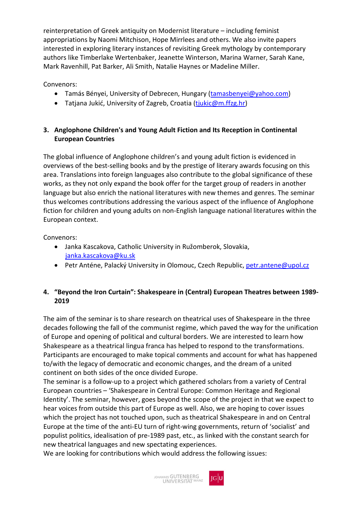reinterpretation of Greek antiquity on Modernist literature – including feminist appropriations by Naomi Mitchison, Hope Mirrlees and others. We also invite papers interested in exploring literary instances of revisiting Greek mythology by contemporary authors like Timberlake Wertenbaker, Jeanette Winterson, Marina Warner, Sarah Kane, Mark Ravenhill, Pat Barker, Ali Smith, Natalie Haynes or Madeline Miller.

Convenors:

- Tamás Bényei, University of Debrecen, Hungary [\(tamasbenyei@yahoo.com\)](mailto:tamasbenyei@yahoo.com)
- Tatjana Jukić, University of Zagreb, Croatia [\(tjukic@m.ffzg.hr\)](mailto:tjukic@m.ffzg.hr)

### **3. Anglophone Children's and Young Adult Fiction and Its Reception in Continental European Countries**

The global influence of Anglophone children's and young adult fiction is evidenced in overviews of the best-selling books and by the prestige of literary awards focusing on this area. Translations into foreign languages also contribute to the global significance of these works, as they not only expand the book offer for the target group of readers in another language but also enrich the national literatures with new themes and genres. The seminar thus welcomes contributions addressing the various aspect of the influence of Anglophone fiction for children and young adults on non-English language national literatures within the European context.

Convenors:

- Janka Kascakova, Catholic University in Ružomberok, Slovakia, [janka.kascakova@ku.sk](mailto:janka.kascakova@ku.sk)
- Petr Anténe, Palacký University in Olomouc, Czech Republic, [petr.antene@upol.cz](mailto:petr.antene@upol.cz)

## **4. "Beyond the Iron Curtain": Shakespeare in (Central) European Theatres between 1989- 2019**

The aim of the seminar is to share research on theatrical uses of Shakespeare in the three decades following the fall of the communist regime, which paved the way for the unification of Europe and opening of political and cultural borders. We are interested to learn how Shakespeare as a theatrical lingua franca has helped to respond to the transformations. Participants are encouraged to make topical comments and account for what has happened to/with the legacy of democratic and economic changes, and the dream of a united continent on both sides of the once divided Europe.

The seminar is a follow-up to a project which gathered scholars from a variety of Central European countries – 'Shakespeare in Central Europe: Common Heritage and Regional Identity'. The seminar, however, goes beyond the scope of the project in that we expect to hear voices from outside this part of Europe as well. Also, we are hoping to cover issues which the project has not touched upon, such as theatrical Shakespeare in and on Central Europe at the time of the anti-EU turn of right-wing governments, return of 'socialist' and populist politics, idealisation of pre-1989 past, etc., as linked with the constant search for new theatrical languages and new spectating experiences.

We are looking for contributions which would address the following issues:

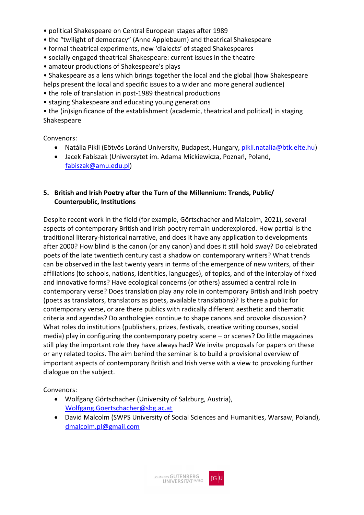- political Shakespeare on Central European stages after 1989
- the "twilight of democracy" (Anne Applebaum) and theatrical Shakespeare
- formal theatrical experiments, new 'dialects' of staged Shakespeares
- socially engaged theatrical Shakespeare: current issues in the theatre
- amateur productions of Shakespeare's plays
- Shakespeare as a lens which brings together the local and the global (how Shakespeare
- helps present the local and specific issues to a wider and more general audience)
- the role of translation in post-1989 theatrical productions
- staging Shakespeare and educating young generations

• the (in)significance of the establishment (academic, theatrical and political) in staging Shakespeare

Convenors:

- Natália Pikli (Eötvös Loránd University, Budapest, Hungary, [pikli.natalia@btk.elte.hu\)](mailto:pikli.natalia@btk.elte.hu)
- Jacek Fabiszak (Uniwersytet im. Adama Mickiewicza, Poznań, Poland, [fabiszak@amu.edu.pl\)](mailto:fabiszak@amu.edu.pl)

#### **5. British and Irish Poetry after the Turn of the Millennium: Trends, Public/ Counterpublic, Institutions**

Despite recent work in the field (for example, Görtschacher and Malcolm, 2021), several aspects of contemporary British and Irish poetry remain underexplored. How partial is the traditional literary-historical narrative, and does it have any application to developments after 2000? How blind is the canon (or any canon) and does it still hold sway? Do celebrated poets of the late twentieth century cast a shadow on contemporary writers? What trends can be observed in the last twenty years in terms of the emergence of new writers, of their affiliations (to schools, nations, identities, languages), of topics, and of the interplay of fixed and innovative forms? Have ecological concerns (or others) assumed a central role in contemporary verse? Does translation play any role in contemporary British and Irish poetry (poets as translators, translators as poets, available translations)? Is there a public for contemporary verse, or are there publics with radically different aesthetic and thematic criteria and agendas? Do anthologies continue to shape canons and provoke discussion? What roles do institutions (publishers, prizes, festivals, creative writing courses, social media) play in configuring the contemporary poetry scene – or scenes? Do little magazines still play the important role they have always had? We invite proposals for papers on these or any related topics. The aim behind the seminar is to build a provisional overview of important aspects of contemporary British and Irish verse with a view to provoking further dialogue on the subject.

- Wolfgang Görtschacher (University of Salzburg, Austria), [Wolfgang.Goertschacher@sbg.ac.at](mailto:Wolfgang.Goertschacher@sbg.ac.at)
- David Malcolm (SWPS University of Social Sciences and Humanities, Warsaw, Poland), [dmalcolm.pl@gmail.com](mailto:dmalcolm.pl@gmail.com)

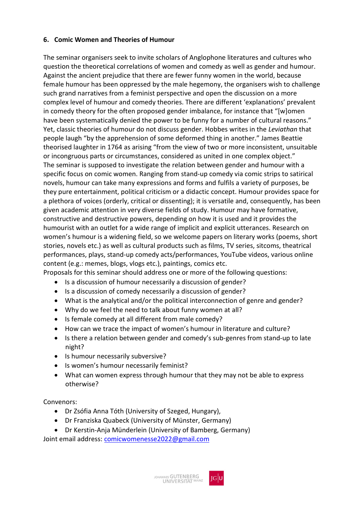#### **6. Comic Women and Theories of Humour**

The seminar organisers seek to invite scholars of Anglophone literatures and cultures who question the theoretical correlations of women and comedy as well as gender and humour. Against the ancient prejudice that there are fewer funny women in the world, because female humour has been oppressed by the male hegemony, the organisers wish to challenge such grand narratives from a feminist perspective and open the discussion on a more complex level of humour and comedy theories. There are different 'explanations' prevalent in comedy theory for the often proposed gender imbalance, for instance that "[w]omen have been systematically denied the power to be funny for a number of cultural reasons." Yet, classic theories of humour do not discuss gender. Hobbes writes in the *Leviathan* that people laugh "by the apprehension of some deformed thing in another." James Beattie theorised laughter in 1764 as arising "from the view of two or more inconsistent, unsuitable or incongruous parts or circumstances, considered as united in one complex object." The seminar is supposed to investigate the relation between gender and humour with a specific focus on comic women. Ranging from stand-up comedy via comic strips to satirical novels, humour can take many expressions and forms and fulfils a variety of purposes, be they pure entertainment, political criticism or a didactic concept. Humour provides space for a plethora of voices (orderly, critical or dissenting); it is versatile and, consequently, has been given academic attention in very diverse fields of study. Humour may have formative, constructive and destructive powers, depending on how it is used and it provides the humourist with an outlet for a wide range of implicit and explicit utterances. Research on women's humour is a widening field, so we welcome papers on literary works (poems, short stories, novels etc.) as well as cultural products such as films, TV series, sitcoms, theatrical performances, plays, stand-up comedy acts/performances, YouTube videos, various online content (e.g.: memes, blogs, vlogs etc.), paintings, comics etc.

Proposals for this seminar should address one or more of the following questions:

- Is a discussion of humour necessarily a discussion of gender?
- Is a discussion of comedy necessarily a discussion of gender?
- What is the analytical and/or the political interconnection of genre and gender?
- Why do we feel the need to talk about funny women at all?
- Is female comedy at all different from male comedy?
- How can we trace the impact of women's humour in literature and culture?
- Is there a relation between gender and comedy's sub-genres from stand-up to late night?
- Is humour necessarily subversive?
- Is women's humour necessarily feminist?
- What can women express through humour that they may not be able to express otherwise?

Convenors:

- Dr Zsófia Anna Tóth (University of Szeged, Hungary),
- Dr Franziska Quabeck (University of Münster, Germany)
- Dr Kerstin-Anja Münderlein (University of Bamberg, Germany)

Joint email address: [comicwomenesse2022@gmail.com](mailto:comicwomenesse2022@gmail.com)

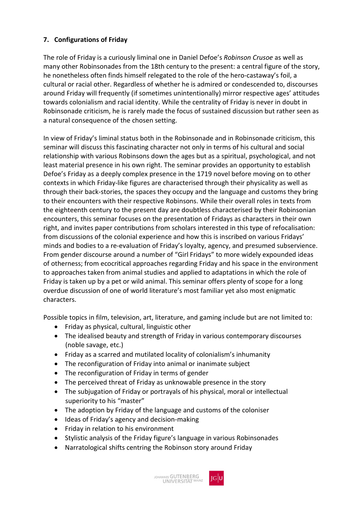### **7. Configurations of Friday**

The role of Friday is a curiously liminal one in Daniel Defoe's *Robinson Crusoe* as well as many other Robinsonades from the 18th century to the present: a central figure of the story, he nonetheless often finds himself relegated to the role of the hero-castaway's foil, a cultural or racial other. Regardless of whether he is admired or condescended to, discourses around Friday will frequently (if sometimes unintentionally) mirror respective ages' attitudes towards colonialism and racial identity. While the centrality of Friday is never in doubt in Robinsonade criticism, he is rarely made the focus of sustained discussion but rather seen as a natural consequence of the chosen setting.

In view of Friday's liminal status both in the Robinsonade and in Robinsonade criticism, this seminar will discuss this fascinating character not only in terms of his cultural and social relationship with various Robinsons down the ages but as a spiritual, psychological, and not least material presence in his own right. The seminar provides an opportunity to establish Defoe's Friday as a deeply complex presence in the 1719 novel before moving on to other contexts in which Friday-like figures are characterised through their physicality as well as through their back-stories, the spaces they occupy and the language and customs they bring to their encounters with their respective Robinsons. While their overall roles in texts from the eighteenth century to the present day are doubtless characterised by their Robinsonian encounters, this seminar focuses on the presentation of Fridays as characters in their own right, and invites paper contributions from scholars interested in this type of refocalisation: from discussions of the colonial experience and how this is inscribed on various Fridays' minds and bodies to a re-evaluation of Friday's loyalty, agency, and presumed subservience. From gender discourse around a number of "Girl Fridays" to more widely expounded ideas of otherness; from ecocritical approaches regarding Friday and his space in the environment to approaches taken from animal studies and applied to adaptations in which the role of Friday is taken up by a pet or wild animal. This seminar offers plenty of scope for a long overdue discussion of one of world literature's most familiar yet also most enigmatic characters.

Possible topics in film, television, art, literature, and gaming include but are not limited to:

- Friday as physical, cultural, linguistic other
- The idealised beauty and strength of Friday in various contemporary discourses (noble savage, etc.)
- Friday as a scarred and mutilated locality of colonialism's inhumanity
- The reconfiguration of Friday into animal or inanimate subject
- The reconfiguration of Friday in terms of gender
- The perceived threat of Friday as unknowable presence in the story
- The subjugation of Friday or portrayals of his physical, moral or intellectual superiority to his "master"
- The adoption by Friday of the language and customs of the coloniser
- Ideas of Friday's agency and decision-making
- Friday in relation to his environment
- Stylistic analysis of the Friday figure's language in various Robinsonades
- Narratological shifts centring the Robinson story around Friday

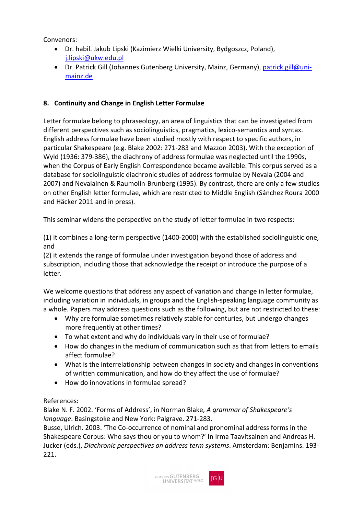Convenors:

- Dr. habil. Jakub Lipski (Kazimierz Wielki University, Bydgoszcz, Poland), [j.lipski@ukw.edu.pl](mailto:j.lipski@ukw.edu.pl)
- Dr. Patrick Gill (Johannes Gutenberg University, Mainz, Germany), [patrick.gill@uni](mailto:patrick.gill@uni-mainz.de)[mainz.de](mailto:patrick.gill@uni-mainz.de)

# **8. Continuity and Change in English Letter Formulae**

Letter formulae belong to phraseology, an area of linguistics that can be investigated from different perspectives such as sociolinguistics, pragmatics, lexico-semantics and syntax. English address formulae have been studied mostly with respect to specific authors, in particular Shakespeare (e.g. Blake 2002: 271-283 and Mazzon 2003). With the exception of Wyld (1936: 379-386), the diachrony of address formulae was neglected until the 1990s, when the Corpus of Early English Correspondence became available. This corpus served as a database for sociolinguistic diachronic studies of address formulae by Nevala (2004 and 2007) and Nevalainen & Raumolin-Brunberg (1995). By contrast, there are only a few studies on other English letter formulae, which are restricted to Middle English (Sánchez Roura 2000 and Häcker 2011 and in press).

This seminar widens the perspective on the study of letter formulae in two respects:

(1) it combines a long-term perspective (1400-2000) with the established sociolinguistic one, and

(2) it extends the range of formulae under investigation beyond those of address and subscription, including those that acknowledge the receipt or introduce the purpose of a letter.

We welcome questions that address any aspect of variation and change in letter formulae, including variation in individuals, in groups and the English-speaking language community as a whole. Papers may address questions such as the following, but are not restricted to these:

- Why are formulae sometimes relatively stable for centuries, but undergo changes more frequently at other times?
- To what extent and why do individuals vary in their use of formulae?
- How do changes in the medium of communication such as that from letters to emails affect formulae?
- What is the interrelationship between changes in society and changes in conventions of written communication, and how do they affect the use of formulae?
- How do innovations in formulae spread?

#### References:

Blake N. F. 2002. 'Forms of Address', in Norman Blake, *A grammar of Shakespeare's language*. Basingstoke and New York: Palgrave. 271-283.

Busse, Ulrich. 2003. 'The Co-occurrence of nominal and pronominal address forms in the Shakespeare Corpus: Who says thou or you to whom?' In Irma Taavitsainen and Andreas H. Jucker (eds.), *Diachronic perspectives on address term systems*. Amsterdam: Benjamins. 193- 221.

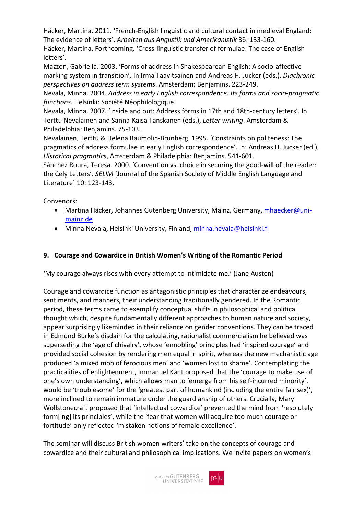Häcker, Martina. 2011. 'French-English linguistic and cultural contact in medieval England: The evidence of letters'. *Arbeiten aus Anglistik und Amerikanistik* 36: 133-160. Häcker, Martina. Forthcoming. 'Cross-linguistic transfer of formulae: The case of English letters'.

Mazzon, Gabriella. 2003. 'Forms of address in Shakespearean English: A socio-affective marking system in transition'. In Irma Taavitsainen and Andreas H. Jucker (eds.), *Diachronic perspectives on address term systems*. Amsterdam: Benjamins. 223-249.

Nevala, Minna. 2004. *Address in early English correspondence: Its forms and socio-pragmatic functions*. Helsinki: Société Néophilologique.

Nevala, Minna. 2007. 'Inside and out: Address forms in 17th and 18th-century letters'. In Terttu Nevalainen and Sanna-Kaisa Tanskanen (eds.), *Letter writing*. Amsterdam & Philadelphia: Benjamins. 75-103.

Nevalainen, Terttu & Helena Raumolin-Brunberg. 1995. 'Constraints on politeness: The pragmatics of address formulae in early English correspondence'. In: Andreas H. Jucker (ed.), *Historical pragmatics*, Amsterdam & Philadelphia: Benjamins. 541-601.

Sánchez Roura, Teresa. 2000. 'Convention vs. choice in securing the good-will of the reader: the Cely Letters'. *SELIM* [Journal of the Spanish Society of Middle English Language and Literature] 10: 123-143.

Convenors:

- Martina Häcker, Johannes Gutenberg University, Mainz, Germany, [mhaecker@uni](mailto:mhaecker@uni-mainz.de)[mainz.de](mailto:mhaecker@uni-mainz.de)
- Minna Nevala, Helsinki University, Finland[, minna.nevala@helsinki.fi](mailto:minna.nevala@helsinki.fi)

#### **9. Courage and Cowardice in British Women's Writing of the Romantic Period**

'My courage always rises with every attempt to intimidate me.' (Jane Austen)

Courage and cowardice function as antagonistic principles that characterize endeavours, sentiments, and manners, their understanding traditionally gendered. In the Romantic period, these terms came to exemplify conceptual shifts in philosophical and political thought which, despite fundamentally different approaches to human nature and society, appear surprisingly likeminded in their reliance on gender conventions. They can be traced in Edmund Burke's disdain for the calculating, rationalist commercialism he believed was superseding the 'age of chivalry', whose 'ennobling' principles had 'inspired courage' and provided social cohesion by rendering men equal in spirit, whereas the new mechanistic age produced 'a mixed mob of ferocious men' and 'women lost to shame'. Contemplating the practicalities of enlightenment, Immanuel Kant proposed that the 'courage to make use of one's own understanding', which allows man to 'emerge from his self-incurred minority', would be 'troublesome' for the 'greatest part of humankind (including the entire fair sex)', more inclined to remain immature under the guardianship of others. Crucially, Mary Wollstonecraft proposed that 'intellectual cowardice' prevented the mind from 'resolutely form[ing] its principles', while the 'fear that women will acquire too much courage or fortitude' only reflected 'mistaken notions of female excellence'.

The seminar will discuss British women writers' take on the concepts of courage and cowardice and their cultural and philosophical implications. We invite papers on women's

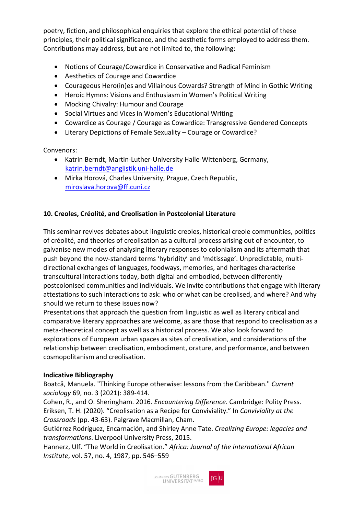poetry, fiction, and philosophical enquiries that explore the ethical potential of these principles, their political significance, and the aesthetic forms employed to address them. Contributions may address, but are not limited to, the following:

- Notions of Courage/Cowardice in Conservative and Radical Feminism
- Aesthetics of Courage and Cowardice
- Courageous Hero(in)es and Villainous Cowards? Strength of Mind in Gothic Writing
- Heroic Hymns: Visions and Enthusiasm in Women's Political Writing
- Mocking Chivalry: Humour and Courage
- Social Virtues and Vices in Women's Educational Writing
- Cowardice as Courage / Courage as Cowardice: Transgressive Gendered Concepts
- Literary Depictions of Female Sexuality Courage or Cowardice?

Convenors:

- Katrin Berndt, Martin-Luther-University Halle-Wittenberg, Germany, [katrin.berndt@anglistik.uni-halle.de](mailto:katrin.berndt@anglistik.uni-halle.de)
- Mirka Horová, Charles University, Prague, Czech Republic, [miroslava.horova@ff.cuni.cz](mailto:miroslava.horova@ff.cuni.cz)

#### **10. Creoles, Créolité, and Creolisation in Postcolonial Literature**

This seminar revives debates about linguistic creoles, historical creole communities, politics of créolité, and theories of creolisation as a cultural process arising out of encounter, to galvanise new modes of analysing literary responses to colonialism and its aftermath that push beyond the now-standard terms 'hybridity' and 'métissage'. Unpredictable, multidirectional exchanges of languages, foodways, memories, and heritages characterise transcultural interactions today, both digital and embodied, between differently postcolonised communities and individuals. We invite contributions that engage with literary attestations to such interactions to ask: who or what can be creolised, and where? And why should we return to these issues now?

Presentations that approach the question from linguistic as well as literary critical and comparative literary approaches are welcome, as are those that respond to creolisation as a meta-theoretical concept as well as a historical process. We also look forward to explorations of European urban spaces as sites of creolisation, and considerations of the relationship between creolisation, embodiment, orature, and performance, and between cosmopolitanism and creolisation.

#### **Indicative Bibliography**

Boatcă, Manuela. "Thinking Europe otherwise: lessons from the Caribbean." *Current sociology* 69, no. 3 (2021): 389-414.

Cohen, R., and O. Sheringham. 2016. *Encountering Difference*. Cambridge: Polity Press. Eriksen, T. H. (2020). "Creolisation as a Recipe for Conviviality." In *Conviviality at the Crossroads* (pp. 43-63). Palgrave Macmillan, Cham.

Gutiérrez Rodríguez, Encarnación, and Shirley Anne Tate. *Creolizing Europe: legacies and transformations*. Liverpool University Press, 2015.

Hannerz, Ulf. "The World in Creolisation." *Africa: Journal of the International African Institute*, vol. 57, no. 4, 1987, pp. 546–559

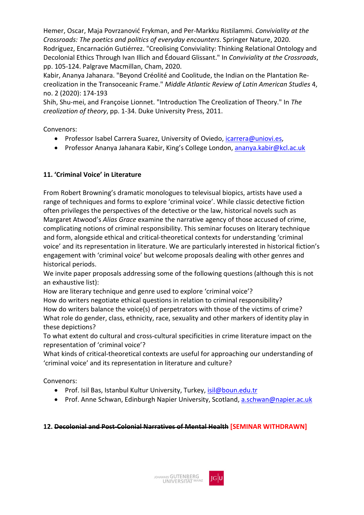Hemer, Oscar, Maja Povrzanović Frykman, and Per-Markku Ristilammi. *Conviviality at the Crossroads: The poetics and politics of everyday encounters*. Springer Nature, 2020. Rodríguez, Encarnación Gutiérrez. "Creolising Conviviality: Thinking Relational Ontology and Decolonial Ethics Through Ivan Illich and Édouard Glissant." In *Conviviality at the Crossroads*, pp. 105-124. Palgrave Macmillan, Cham, 2020.

Kabir, Ananya Jahanara. "Beyond Créolité and Coolitude, the Indian on the Plantation Recreolization in the Transoceanic Frame." *Middle Atlantic Review of Latin American Studies* 4, no. 2 (2020): 174-193

Shih, Shu-mei, and Françoise Lionnet. "Introduction The Creolization of Theory." In *The creolization of theory*, pp. 1-34. Duke University Press, 2011.

Convenors:

- Professor Isabel Carrera Suarez, University of Oviedo, [icarrera@uniovi.es,](mailto:icarrera@uniovi.es)
- Professor Ananya Jahanara Kabir, King's College London, [ananya.kabir@kcl.ac.uk](mailto:ananya.kabir@kcl.ac.uk)

# **11. 'Criminal Voice' in Literature**

From Robert Browning's dramatic monologues to televisual biopics, artists have used a range of techniques and forms to explore 'criminal voice'. While classic detective fiction often privileges the perspectives of the detective or the law, historical novels such as Margaret Atwood's *Alias Grace* examine the narrative agency of those accused of crime, complicating notions of criminal responsibility. This seminar focuses on literary technique and form, alongside ethical and critical-theoretical contexts for understanding 'criminal voice' and its representation in literature. We are particularly interested in historical fiction's engagement with 'criminal voice' but welcome proposals dealing with other genres and historical periods.

We invite paper proposals addressing some of the following questions (although this is not an exhaustive list):

How are literary technique and genre used to explore 'criminal voice'?

How do writers negotiate ethical questions in relation to criminal responsibility? How do writers balance the voice(s) of perpetrators with those of the victims of crime? What role do gender, class, ethnicity, race, sexuality and other markers of identity play in these depictions?

To what extent do cultural and cross-cultural specificities in crime literature impact on the representation of 'criminal voice'?

What kinds of critical-theoretical contexts are useful for approaching our understanding of 'criminal voice' and its representation in literature and culture?

Convenors:

- Prof. Isil Bas, Istanbul Kultur University, Turkey, [isil@boun.edu.tr](mailto:isil@boun.edu.tr)
- Prof. Anne Schwan, Edinburgh Napier University, Scotland[, a.schwan@napier.ac.uk](mailto:a.schwan@napier.ac.uk)

#### **12. Decolonial and Post-Colonial Narratives of Mental Health [SEMINAR WITHDRAWN]**

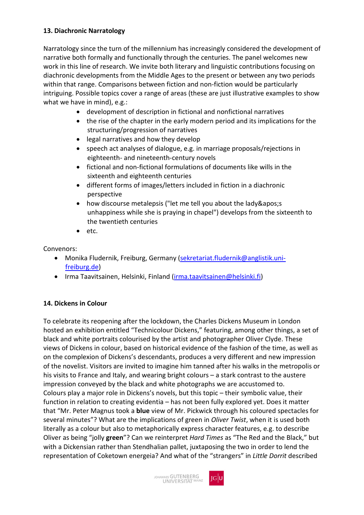#### **13. Diachronic Narratology**

Narratology since the turn of the millennium has increasingly considered the development of narrative both formally and functionally through the centuries. The panel welcomes new work in this line of research. We invite both literary and linguistic contributions focusing on diachronic developments from the Middle Ages to the present or between any two periods within that range. Comparisons between fiction and non-fiction would be particularly intriguing. Possible topics cover a range of areas (these are just illustrative examples to show what we have in mind), e.g.:

- development of description in fictional and nonfictional narratives
- the rise of the chapter in the early modern period and its implications for the structuring/progression of narratives
- legal narratives and how they develop
- speech act analyses of dialogue, e.g. in marriage proposals/rejections in eighteenth- and nineteenth-century novels
- fictional and non-fictional formulations of documents like wills in the sixteenth and eighteenth centuries
- different forms of images/letters included in fiction in a diachronic perspective
- how discourse metalepsis ("let me tell you about the lady's unhappiness while she is praying in chapel") develops from the sixteenth to the twentieth centuries
- etc.

Convenors:

- Monika Fludernik, Freiburg, Germany [\(sekretariat.fludernik@anglistik.uni](mailto:sekretariat.fludernik@anglistik.uni-freiburg.de)[freiburg.de\)](mailto:sekretariat.fludernik@anglistik.uni-freiburg.de)
- Irma Taavitsainen, Helsinki, Finland [\(irma.taavitsainen@helsinki.fi\)](mailto:irma.taavitsainen@helsinki.fi)

# **14. Dickens in Colour**

To celebrate its reopening after the lockdown, the Charles Dickens Museum in London hosted an exhibition entitled "Technicolour Dickens," featuring, among other things, a set of black and white portraits colourised by the artist and photographer Oliver Clyde. These views of Dickens in colour, based on historical evidence of the fashion of the time, as well as on the complexion of Dickens's descendants, produces a very different and new impression of the novelist. Visitors are invited to imagine him tanned after his walks in the metropolis or his visits to France and Italy, and wearing bright colours – a stark contrast to the austere impression conveyed by the black and white photographs we are accustomed to. Colours play a major role in Dickens's novels, but this topic – their symbolic value, their function in relation to creating evidentia – has not been fully explored yet. Does it matter that "Mr. Peter Magnus took a **blue** view of Mr. Pickwick through his coloured spectacles for several minutes"? What are the implications of green in *Oliver Twist*, when it is used both literally as a colour but also to metaphorically express character features, e.g. to describe Oliver as being "jolly **green**"? Can we reinterpret *Hard Times* as "The Red and the Black," but with a Dickensian rather than Stendhalian pallet, juxtaposing the two in order to lend the representation of Coketown energeia? And what of the "strangers" in *Little Dorrit* described

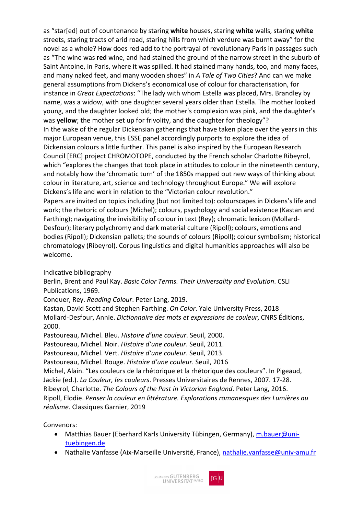as "star[ed] out of countenance by staring **white** houses, staring **white** walls, staring **white** streets, staring tracts of arid road, staring hills from which verdure was burnt away" for the novel as a whole? How does red add to the portrayal of revolutionary Paris in passages such as "The wine was **red** wine, and had stained the ground of the narrow street in the suburb of Saint Antoine, in Paris, where it was spilled. It had stained many hands, too, and many faces, and many naked feet, and many wooden shoes" in *A Tale of Two Cities*? And can we make general assumptions from Dickens's economical use of colour for characterisation, for instance in *Great Expectations*: "The lady with whom Estella was placed, Mrs. Brandley by name, was a widow, with one daughter several years older than Estella. The mother looked young, and the daughter looked old; the mother's complexion was pink, and the daughter's was **yellow**; the mother set up for frivolity, and the daughter for theology"? In the wake of the regular Dickensian gatherings that have taken place over the years in this major European venue, this ESSE panel accordingly purports to explore the idea of Dickensian colours a little further. This panel is also inspired by the European Research Council [ERC] project CHROMOTOPE, conducted by the French scholar Charlotte Ribeyrol, which "explores the changes that took place in attitudes to colour in the nineteenth century, and notably how the 'chromatic turn' of the 1850s mapped out new ways of thinking about colour in literature, art, science and technology throughout Europe." We will explore Dickens's life and work in relation to the "Victorian colour revolution." Papers are invited on topics including (but not limited to): colourscapes in Dickens's life and work; the rhetoric of colours (Michel); colours, psychology and social existence (Kastan and Farthing); navigating the invisibility of colour in text (Rey); chromatic lexicon (Mollard-Desfour); literary polychromy and dark material culture (Ripoll); colours, emotions and bodies (Ripoll); Dickensian pallets; the sounds of colours (Ripoll); colour symbolism; historical chromatology (Ribeyrol). Corpus linguistics and digital humanities approaches will also be welcome.

Indicative bibliography

Berlin, Brent and Paul Kay. *Basic Color Terms. Their Universality and Evolution*. CSLI Publications, 1969.

Conquer, Rey. *Reading Colour*. Peter Lang, 2019.

Kastan, David Scott and Stephen Farthing. *On Color*. Yale University Press, 2018 Mollard-Desfour, Annie. *Dictionnaire des mots et expressions de couleur*, CNRS Éditions, 2000.

Pastoureau, Michel. Bleu. *Histoire d'une couleur*. Seuil, 2000.

Pastoureau, Michel. Noir. *Histoire d'une couleur*. Seuil, 2011.

Pastoureau, Michel. Vert. *Histoire d'une couleur*. Seuil, 2013.

Pastoureau, Michel. Rouge. *Histoire d'une couleur*. Seuil, 2016

Michel, Alain. "Les couleurs de la rhétorique et la rhétorique des couleurs". In Pigeaud, Jackie (ed.). *La Couleur, les couleurs*. Presses Universitaires de Rennes, 2007. 17-28. Ribeyrol, Charlotte. *The Colours of the Past in Victorian England*. Peter Lang, 2016. Ripoll, Elodie. *Penser la couleur en littérature. Explorations romanesques des Lumières au réalisme*. Classiques Garnier, 2019

- Matthias Bauer (Eberhard Karls University Tübingen, Germany), [m.bauer@uni](mailto:m.bauer@uni-tuebingen.de)[tuebingen.de](mailto:m.bauer@uni-tuebingen.de)
- Nathalie Vanfasse (Aix-Marseille Université, France), [nathalie.vanfasse@univ-amu.fr](mailto:nathalie.vanfasse@univ-amu.fr)

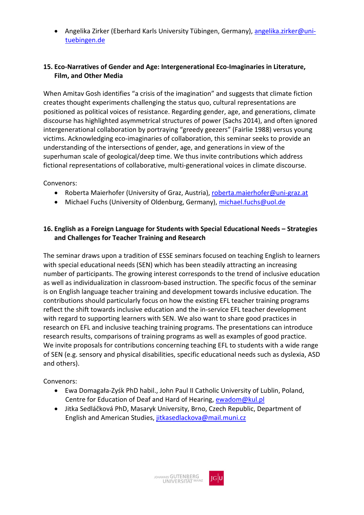• Angelika Zirker (Eberhard Karls University Tübingen, Germany), [angelika.zirker@uni](mailto:angelika.zirker@uni-tuebingen.de)[tuebingen.de](mailto:angelika.zirker@uni-tuebingen.de)

#### **15. Eco-Narratives of Gender and Age: Intergenerational Eco-Imaginaries in Literature, Film, and Other Media**

When Amitav Gosh identifies "a crisis of the imagination" and suggests that climate fiction creates thought experiments challenging the status quo, cultural representations are positioned as political voices of resistance. Regarding gender, age, and generations, climate discourse has highlighted asymmetrical structures of power (Sachs 2014), and often ignored intergenerational collaboration by portraying "greedy geezers" (Fairlie 1988) versus young victims. Acknowledging eco-imaginaries of collaboration, this seminar seeks to provide an understanding of the intersections of gender, age, and generations in view of the superhuman scale of geological/deep time. We thus invite contributions which address fictional representations of collaborative, multi-generational voices in climate discourse.

Convenors:

- Roberta Maierhofer (University of Graz, Austria), [roberta.maierhofer@uni-graz.at](mailto:roberta.maierhofer@uni-graz.at)
- Michael Fuchs (University of Oldenburg, Germany), [michael.fuchs@uol.de](mailto:michael.fuchs@uol.de)

#### **16. English as a Foreign Language for Students with Special Educational Needs – Strategies and Challenges for Teacher Training and Research**

The seminar draws upon a tradition of ESSE seminars focused on teaching English to learners with special educational needs (SEN) which has been steadily attracting an increasing number of participants. The growing interest corresponds to the trend of inclusive education as well as individualization in classroom-based instruction. The specific focus of the seminar is on English language teacher training and development towards inclusive education. The contributions should particularly focus on how the existing EFL teacher training programs reflect the shift towards inclusive education and the in-service EFL teacher development with regard to supporting learners with SEN. We also want to share good practices in research on EFL and inclusive teaching training programs. The presentations can introduce research results, comparisons of training programs as well as examples of good practice. We invite proposals for contributions concerning teaching EFL to students with a wide range of SEN (e.g. sensory and physical disabilities, specific educational needs such as dyslexia, ASD and others).

- Ewa Domagała-Zyśk PhD habil., John Paul II Catholic University of Lublin, Poland, Centre for Education of Deaf and Hard of Hearing, [ewadom@kul.pl](mailto:ewadom@kul.pl)
- Jitka Sedláčková PhD, Masaryk University, Brno, Czech Republic, Department of English and American Studies, [jitkasedlackova@mail.muni.cz](mailto:jitkasedlackova@mail.muni.cz)

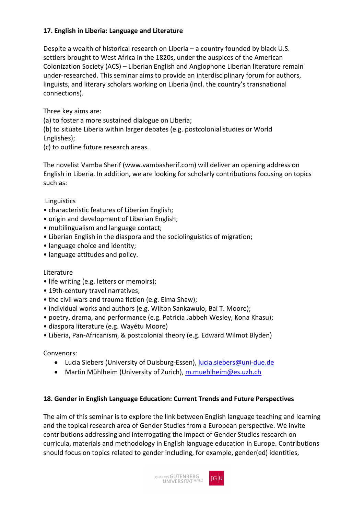#### **17. English in Liberia: Language and Literature**

Despite a wealth of historical research on Liberia – a country founded by black U.S. settlers brought to West Africa in the 1820s, under the auspices of the American Colonization Society (ACS) – Liberian English and Anglophone Liberian literature remain under-researched. This seminar aims to provide an interdisciplinary forum for authors, linguists, and literary scholars working on Liberia (incl. the country's transnational connections).

Three key aims are:

(a) to foster a more sustained dialogue on Liberia;

(b) to situate Liberia within larger debates (e.g. postcolonial studies or World Englishes);

(c) to outline future research areas.

The novelist Vamba Sherif (www.vambasherif.com) will deliver an opening address on English in Liberia. In addition, we are looking for scholarly contributions focusing on topics such as:

#### Linguistics

- characteristic features of Liberian English;
- origin and development of Liberian English;
- multilingualism and language contact;
- Liberian English in the diaspora and the sociolinguistics of migration;
- language choice and identity;
- language attitudes and policy.

#### Literature

- life writing (e.g. letters or memoirs);
- 19th-century travel narratives;
- the civil wars and trauma fiction (e.g. Elma Shaw);
- individual works and authors (e.g. Wilton Sankawulo, Bai T. Moore);
- poetry, drama, and performance (e.g. Patricia Jabbeh Wesley, Kona Khasu);
- diaspora literature (e.g. Wayétu Moore)
- Liberia, Pan-Africanism, & postcolonial theory (e.g. Edward Wilmot Blyden)

Convenors:

- Lucia Siebers (University of Duisburg-Essen), [lucia.siebers@uni-due.de](mailto:lucia.siebers@uni-due.de)
- Martin Mühlheim (University of Zurich), [m.muehlheim@es.uzh.ch](mailto:m.muehlheim@es.uzh.ch)

#### **18. Gender in English Language Education: Current Trends and Future Perspectives**

The aim of this seminar is to explore the link between English language teaching and learning and the topical research area of Gender Studies from a European perspective. We invite contributions addressing and interrogating the impact of Gender Studies research on curricula, materials and methodology in English language education in Europe. Contributions should focus on topics related to gender including, for example, gender(ed) identities,

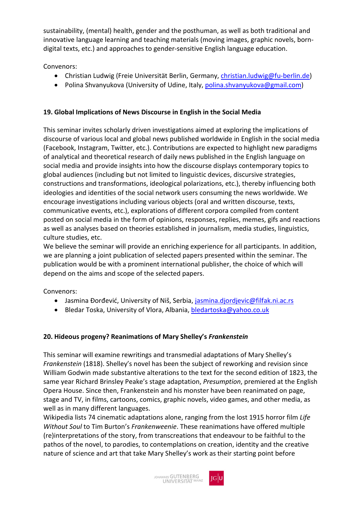sustainability, (mental) health, gender and the posthuman, as well as both traditional and innovative language learning and teaching materials (moving images, graphic novels, borndigital texts, etc.) and approaches to gender-sensitive English language education.

Convenors:

- Christian Ludwig (Freie Universität Berlin, Germany, [christian.ludwig@fu-berlin.de\)](mailto:christian.ludwig@fu-berlin.de)
- Polina Shvanyukova (University of Udine, Italy, [polina.shvanyukova@gmail.com\)](mailto:polina.shvanyukova@gmail.com)

# **19. Global Implications of News Discourse in English in the Social Media**

This seminar invites scholarly driven investigations aimed at exploring the implications of discourse of various local and global news published worldwide in English in the social media (Facebook, Instagram, Twitter, etc.). Contributions are expected to highlight new paradigms of analytical and theoretical research of daily news published in the English language on social media and provide insights into how the discourse displays contemporary topics to global audiences (including but not limited to linguistic devices, discursive strategies, constructions and transformations, ideological polarizations, etc.), thereby influencing both ideologies and identities of the social network users consuming the news worldwide. We encourage investigations including various objects (oral and written discourse, texts, communicative events, etc.), explorations of different corpora compiled from content posted on social media in the form of opinions, responses, replies, memes, gifs and reactions as well as analyses based on theories established in journalism, media studies, linguistics, culture studies, etc.

We believe the seminar will provide an enriching experience for all participants. In addition, we are planning a joint publication of selected papers presented within the seminar. The publication would be with a prominent international publisher, the choice of which will depend on the aims and scope of the selected papers.

Convenors:

- Jasmina Đorđević, University of Niš, Serbia, [jasmina.djordjevic@filfak.ni.ac.rs](mailto:jasmina.djordjevic@filfak.ni.ac.rs)
- Bledar Toska, University of Vlora, Albania, [bledartoska@yahoo.co.uk](mailto:bledartoska@yahoo.co.uk)

# **20. Hideous progeny? Reanimations of Mary Shelley's** *Frankenstein*

This seminar will examine rewritings and transmedial adaptations of Mary Shelley's *Frankenstein* (1818). Shelley's novel has been the subject of reworking and revision since William Godwin made substantive alterations to the text for the second edition of 1823, the same year Richard Brinsley Peake's stage adaptation, *Presumption*, premiered at the English Opera House. Since then, Frankenstein and his monster have been reanimated on page, stage and TV, in films, cartoons, comics, graphic novels, video games, and other media, as well as in many different languages.

Wikipedia lists 74 cinematic adaptations alone, ranging from the lost 1915 horror film *Life Without Soul* to Tim Burton's *Frankenweenie*. These reanimations have offered multiple (re)interpretations of the story, from transcreations that endeavour to be faithful to the pathos of the novel, to parodies, to contemplations on creation, identity and the creative nature of science and art that take Mary Shelley's work as their starting point before

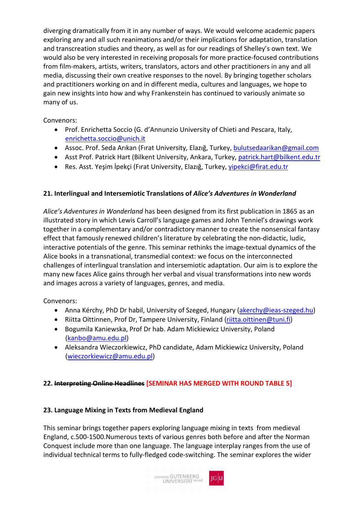diverging dramatically from it in any number of ways. We would welcome academic papers exploring any and all such reanimations and/or their implications for adaptation, translation and transcreation studies and theory, as well as for our readings of Shelley's own text. We would also be very interested in receiving proposals for more practice-focused contributions from film-makers, artists, writers, translators, actors and other practitioners in any and all media, discussing their own creative responses to the novel. By bringing together scholars and practitioners working on and in different media, cultures and languages, we hope to gain new insights into how and why Frankenstein has continued to variously animate so many of us.

#### Convenors:

- Prof. Enrichetta Soccio (G. d'Annunzio University of Chieti and Pescara, Italy, [enrichetta.soccio@unich.it](mailto:enrichetta.soccio@unich.it)
- Assoc. Prof. Seda Arıkan (Fırat University, Elazığ, Turkey, [bulutsedaarikan@gmail.com](mailto:bulutsedaarikan@gmail.com)
- Asst Prof. Patrick Hart (Bilkent University, Ankara, Turkey, [patrick.hart@bilkent.edu.tr](mailto:patrick.hart@bilkent.edu.tr)
- Res. Asst. Yeşim İpekçi (Fırat University, Elazığ, Turkey, [yipekci@firat.edu.tr](mailto:yipekci@firat.edu.tr)

## **21. Interlingual and Intersemiotic Translations of** *Alice's Adventures in Wonderland*

*Alice's Adventures in Wonderland* has been designed from its first publication in 1865 as an illustrated story in which Lewis Carroll's language games and John Tenniel's drawings work together in a complementary and/or contradictory manner to create the nonsensical fantasy effect that famously renewed children's literature by celebrating the non-didactic, ludic, interactive potentials of the genre. This seminar rethinks the image-textual dynamics of the Alice books in a transnational, transmedial context: we focus on the interconnected challenges of interlingual translation and intersemiotic adaptation. Our aim is to explore the many new faces Alice gains through her verbal and visual transformations into new words and images across a variety of languages, genres, and media.

Convenors:

- Anna Kérchy, PhD Dr habil, University of Szeged, Hungary [\(akerchy@ieas-szeged.hu\)](mailto:akerchy@ieas-szeged.hu)
- Riitta Oittinnen, Prof Dr, Tampere University, Finland [\(riitta.oittinen@tuni.fi\)](mailto:riitta.oittinen@tuni.fi)
- Bogumila Kaniewska, Prof Dr hab. Adam Mickiewicz University, Poland [\(kanbo@amu.edu.pl\)](mailto:kanbo@amu.edu.pl)
- Aleksandra Wieczorkiewicz, PhD candidate, Adam Mickiewicz University, Poland [\(wieczorkiewicz@amu.edu.pl\)](mailto:wieczorkiewicz@amu.edu.pl)

#### **22. Interpreting Online Headlines [SEMINAR HAS MERGED WITH ROUND TABLE 5]**

#### **23. Language Mixing in Texts from Medieval England**

This seminar brings together papers exploring language mixing in texts from medieval England, c.500-1500.Numerous texts of various genres both before and after the Norman Conquest include more than one language. The language interplay ranges from the use of individual technical terms to fully-fledged code-switching. The seminar explores the wider

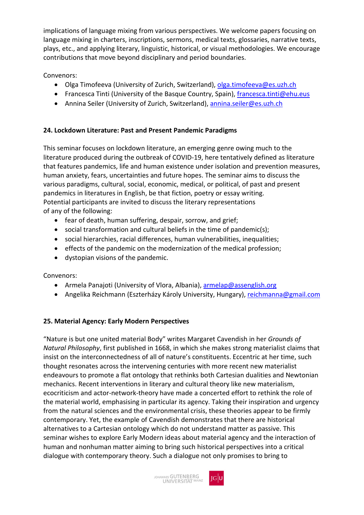implications of language mixing from various perspectives. We welcome papers focusing on language mixing in charters, inscriptions, sermons, medical texts, glossaries, narrative texts, plays, etc., and applying literary, linguistic, historical, or visual methodologies. We encourage contributions that move beyond disciplinary and period boundaries.

Convenors:

- Olga Timofeeva (University of Zurich, Switzerland), [olga.timofeeva@es.uzh.ch](mailto:olga.timofeeva@es.uzh.ch)
- Francesca Tinti (University of the Basque Country, Spain), [francesca.tinti@ehu.eus](mailto:francesca.tinti@ehu.eus)
- Annina Seiler (University of Zurich, Switzerland)[, annina.seiler@es.uzh.ch](mailto:annina.seiler@es.uzh.ch)

# **24. Lockdown Literature: Past and Present Pandemic Paradigms**

This seminar focuses on lockdown literature, an emerging genre owing much to the literature produced during the outbreak of COVID-19, here tentatively defined as literature that features pandemics, life and human existence under isolation and prevention measures, human anxiety, fears, uncertainties and future hopes. The seminar aims to discuss the various paradigms, cultural, social, economic, medical, or political, of past and present pandemics in literatures in English, be that fiction, poetry or essay writing. Potential participants are invited to discuss the literary representations of any of the following:

- fear of death, human suffering, despair, sorrow, and grief;
- social transformation and cultural beliefs in the time of pandemic(s);
- social hierarchies, racial differences, human vulnerabilities, inequalities;
- effects of the pandemic on the modernization of the medical profession;
- dystopian visions of the pandemic.

Convenors:

- Armela Panajoti (University of Vlora, Albania), [armelap@assenglish.org](mailto:armelap@assenglish.org)
- Angelika Reichmann (Eszterházy Károly University, Hungary)[, reichmanna@gmail.com](mailto:reichmanna@gmail.com)

# **25. Material Agency: Early Modern Perspectives**

"Nature is but one united material Body" writes Margaret Cavendish in her *Grounds of Natural Philosophy*, first published in 1668, in which she makes strong materialist claims that insist on the interconnectedness of all of nature's constituents. Eccentric at her time, such thought resonates across the intervening centuries with more recent new materialist endeavours to promote a flat ontology that rethinks both Cartesian dualities and Newtonian mechanics. Recent interventions in literary and cultural theory like new materialism, ecocriticism and actor-network-theory have made a concerted effort to rethink the role of the material world, emphasising in particular its agency. Taking their inspiration and urgency from the natural sciences and the environmental crisis, these theories appear to be firmly contemporary. Yet, the example of Cavendish demonstrates that there are historical alternatives to a Cartesian ontology which do not understand matter as passive. This seminar wishes to explore Early Modern ideas about material agency and the interaction of human and nonhuman matter aiming to bring such historical perspectives into a critical dialogue with contemporary theory. Such a dialogue not only promises to bring to

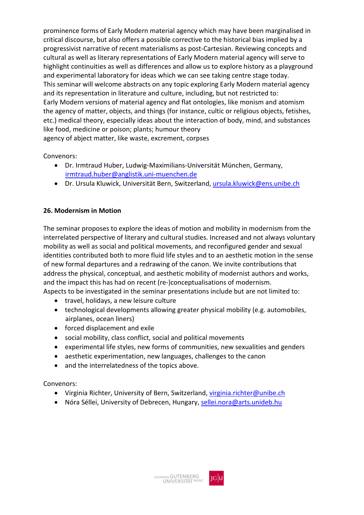prominence forms of Early Modern material agency which may have been marginalised in critical discourse, but also offers a possible corrective to the historical bias implied by a progressivist narrative of recent materialisms as post-Cartesian. Reviewing concepts and cultural as well as literary representations of Early Modern material agency will serve to highlight continuities as well as differences and allow us to explore history as a playground and experimental laboratory for ideas which we can see taking centre stage today. This seminar will welcome abstracts on any topic exploring Early Modern material agency and its representation in literature and culture, including, but not restricted to: Early Modern versions of material agency and flat ontologies, like monism and atomism the agency of matter, objects, and things (for instance, cultic or religious objects, fetishes, etc.) medical theory, especially ideas about the interaction of body, mind, and substances like food, medicine or poison; plants; humour theory agency of abject matter, like waste, excrement, corpses

Convenors:

- Dr. Irmtraud Huber, Ludwig-Maximilians-Universität München, Germany, [irmtraud.huber@anglistik.uni-muenchen.de](mailto:irmtraud.huber@anglistik.uni-muenchen.de)
- Dr. Ursula Kluwick, Universität Bern, Switzerland, [ursula.kluwick@ens.unibe.ch](mailto:ursula.kluwick@ens.unibe.ch)

#### **26. Modernism in Motion**

The seminar proposes to explore the ideas of motion and mobility in modernism from the interrelated perspective of literary and cultural studies. Increased and not always voluntary mobility as well as social and political movements, and reconfigured gender and sexual identities contributed both to more fluid life styles and to an aesthetic motion in the sense of new formal departures and a redrawing of the canon. We invite contributions that address the physical, conceptual, and aesthetic mobility of modernist authors and works, and the impact this has had on recent (re-)conceptualisations of modernism. Aspects to be investigated in the seminar presentations include but are not limited to:

- travel, holidays, a new leisure culture
- technological developments allowing greater physical mobility (e.g. automobiles, airplanes, ocean liners)
- forced displacement and exile
- social mobility, class conflict, social and political movements
- experimental life styles, new forms of communities, new sexualities and genders
- aesthetic experimentation, new languages, challenges to the canon
- and the interrelatedness of the topics above.

- Virginia Richter, University of Bern, Switzerland, [virginia.richter@unibe.ch](mailto:virginia.richter@unibe.ch)
- Nóra Séllei, University of Debrecen, Hungary, [sellei.nora@arts.unideb.hu](mailto:sellei.nora@arts.unideb.hu)

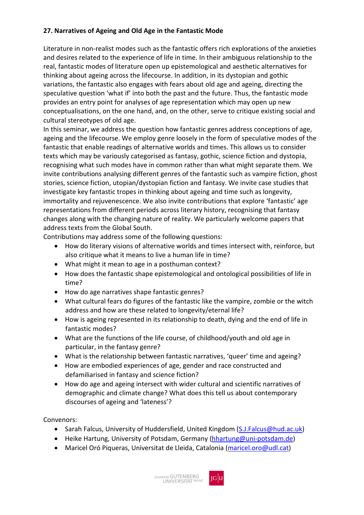#### **27. Narratives of Ageing and Old Age in the Fantastic Mode**

Literature in non-realist modes such as the fantastic offers rich explorations of the anxieties and desires related to the experience of life in time. In their ambiguous relationship to the real, fantastic modes of literature open up epistemological and aesthetic alternatives for thinking about ageing across the lifecourse. In addition, in its dystopian and gothic variations, the fantastic also engages with fears about old age and ageing, directing the speculative question 'what if' into both the past and the future. Thus, the fantastic mode provides an entry point for analyses of age representation which may open up new conceptualisations, on the one hand, and, on the other, serve to critique existing social and cultural stereotypes of old age.

In this seminar, we address the question how fantastic genres address conceptions of age, ageing and the lifecourse. We employ genre loosely in the form of speculative modes of the fantastic that enable readings of alternative worlds and times. This allows us to consider texts which may be variously categorised as fantasy, gothic, science fiction and dystopia, recognising what such modes have in common rather than what might separate them. We invite contributions analysing different genres of the fantastic such as vampire fiction, ghost stories, science fiction, utopian/dystopian fiction and fantasy. We invite case studies that investigate key fantastic tropes in thinking about ageing and time such as longevity, immortality and rejuvenescence. We also invite contributions that explore 'fantastic' age representations from different periods across literary history, recognising that fantasy changes along with the changing nature of reality. We particularly welcome papers that address texts from the Global South.

Contributions may address some of the following questions:

- How do literary visions of alternative worlds and times intersect with, reinforce, but also critique what it means to live a human life in time?
- What might it mean to age in a posthuman context?
- How does the fantastic shape epistemological and ontological possibilities of life in time?
- How do age narratives shape fantastic genres?
- What cultural fears do figures of the fantastic like the vampire, zombie or the witch address and how are these related to longevity/eternal life?
- How is ageing represented in its relationship to death, dying and the end of life in fantastic modes?
- What are the functions of the life course, of childhood/youth and old age in particular, in the fantasy genre?
- What is the relationship between fantastic narratives, 'queer' time and ageing?
- How are embodied experiences of age, gender and race constructed and defamiliarised in fantasy and science fiction?
- How do age and ageing intersect with wider cultural and scientific narratives of demographic and climate change? What does this tell us about contemporary discourses of ageing and 'lateness'?

- Sarah Falcus, University of Huddersfield, United Kingdom [\(S.J.Falcus@hud.ac.uk\)](mailto:S.J.Falcus@hud.ac.uk)
- Heike Hartung, University of Potsdam, Germany [\(hhartung@uni-potsdam.de\)](mailto:hhartung@uni-potsdam.de)
- Maricel Oró Piqueras, Universitat de Lleida, Catalonia [\(maricel.oro@udl.cat\)](mailto:maricel.oro@udl.cat)

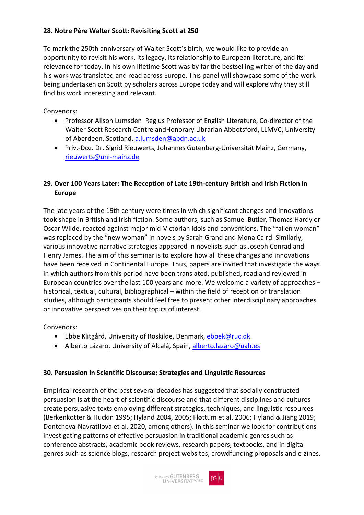#### **28. Notre Père Walter Scott: Revisiting Scott at 250**

To mark the 250th anniversary of Walter Scott's birth, we would like to provide an opportunity to revisit his work, its legacy, its relationship to European literature, and its relevance for today. In his own lifetime Scott was by far the bestselling writer of the day and his work was translated and read across Europe. This panel will showcase some of the work being undertaken on Scott by scholars across Europe today and will explore why they still find his work interesting and relevant.

Convenors:

- Professor Alison Lumsden Regius Professor of English Literature, Co-director of the Walter Scott Research Centre andHonorary Librarian Abbotsford, LLMVC, University of Aberdeen, Scotland, [a.lumsden@abdn.ac.uk](mailto:a.lumsden@abdn.ac.uk)
- Priv.-Doz. Dr. Sigrid Rieuwerts, Johannes Gutenberg-Universität Mainz, Germany, [rieuwerts@uni-mainz.de](mailto:rieuwerts@uni-mainz.de)

#### **29. Over 100 Years Later: The Reception of Late 19th-century British and Irish Fiction in Europe**

The late years of the 19th century were times in which significant changes and innovations took shape in British and Irish fiction. Some authors, such as Samuel Butler, Thomas Hardy or Oscar Wilde, reacted against major mid-Victorian idols and conventions. The "fallen woman" was replaced by the "new woman" in novels by Sarah Grand and Mona Caird. Similarly, various innovative narrative strategies appeared in novelists such as Joseph Conrad and Henry James. The aim of this seminar is to explore how all these changes and innovations have been received in Continental Europe. Thus, papers are invited that investigate the ways in which authors from this period have been translated, published, read and reviewed in European countries over the last 100 years and more. We welcome a variety of approaches – historical, textual, cultural, bibliographical – within the field of reception or translation studies, although participants should feel free to present other interdisciplinary approaches or innovative perspectives on their topics of interest.

Convenors:

- Ebbe Klitgård, University of Roskilde, Denmark, [ebbek@ruc.dk](mailto:ebbek@ruc.dk)
- Alberto Lázaro, University of Alcalá, Spain, [alberto.lazaro@uah.es](mailto:alberto.lazaro@uah.es)

#### **30. Persuasion in Scientific Discourse: Strategies and Linguistic Resources**

Empirical research of the past several decades has suggested that socially constructed persuasion is at the heart of scientific discourse and that different disciplines and cultures create persuasive texts employing different strategies, techniques, and linguistic resources (Berkenkotter & Huckin 1995; Hyland 2004, 2005; Fløttum et al. 2006; Hyland & Jiang 2019; Dontcheva-Navratilova et al. 2020, among others). In this seminar we look for contributions investigating patterns of effective persuasion in traditional academic genres such as conference abstracts, academic book reviews, research papers, textbooks, and in digital genres such as science blogs, research project websites, crowdfunding proposals and e-zines.

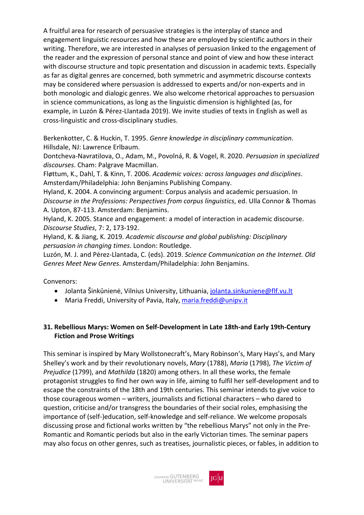A fruitful area for research of persuasive strategies is the interplay of stance and engagement linguistic resources and how these are employed by scientific authors in their writing. Therefore, we are interested in analyses of persuasion linked to the engagement of the reader and the expression of personal stance and point of view and how these interact with discourse structure and topic presentation and discussion in academic texts. Especially as far as digital genres are concerned, both symmetric and asymmetric discourse contexts may be considered where persuasion is addressed to experts and/or non-experts and in both monologic and dialogic genres. We also welcome rhetorical approaches to persuasion in science communications, as long as the linguistic dimension is highlighted (as, for example, in Luzón & Pérez-Llantada 2019). We invite studies of texts in English as well as cross-linguistic and cross-disciplinary studies.

Berkenkotter, C. & Huckin, T. 1995. *Genre knowledge in disciplinary communication*. Hillsdale, NJ: Lawrence Erlbaum.

Dontcheva-Navratilova, O., Adam, M., Povolná, R. & Vogel, R. 2020. *Persuasion in specialized discourses*. Cham: Palgrave Macmillan.

Fløttum, K., Dahl, T. & Kinn, T. 2006. *Academic voices: across languages and disciplines*. Amsterdam/Philadelphia: John Benjamins Publishing Company.

Hyland, K. 2004. A convincing argument: Corpus analysis and academic persuasion. In *Discourse in the Professions: Perspectives from corpus linguistics*, ed. Ulla Connor & Thomas A. Upton, 87-113. Amsterdam: Benjamins.

Hyland, K. 2005. Stance and engagement: a model of interaction in academic discourse. *Discourse Studies*, 7: 2, 173-192.

Hyland, K. & Jiang, K. 2019. *Academic discourse and global publishing: Disciplinary persuasion in changing times*. London: Routledge.

Luzón, M. J. and Pérez-Llantada, C. (eds). 2019. *Science Communication on the Internet. Old Genres Meet New Genres*. Amsterdam/Philadelphia: John Benjamins.

Convenors:

- Jolanta Šinkūnienė, Vilnius University, Lithuania, [jolanta.sinkuniene@flf.vu.lt](mailto:jolanta.sinkuniene@flf.vu.lt)
- Maria Freddi, University of Pavia, Italy, [maria.freddi@unipv.it](mailto:maria.freddi@unipv.it)

#### **31. Rebellious Marys: Women on Self-Development in Late 18th-and Early 19th-Century Fiction and Prose Writings**

This seminar is inspired by Mary Wollstonecraft's, Mary Robinson's, Mary Hays's, and Mary Shelley's work and by their revolutionary novels, *Mary* (1788), *Maria* (1798), *The Victim of Prejudice* (1799), and *Mathilda* (1820) among others. In all these works, the female protagonist struggles to find her own way in life, aiming to fulfil her self-development and to escape the constraints of the 18th and 19th centuries. This seminar intends to give voice to those courageous women – writers, journalists and fictional characters – who dared to question, criticise and/or transgress the boundaries of their social roles, emphasising the importance of (self-)education, self-knowledge and self-reliance. We welcome proposals discussing prose and fictional works written by "the rebellious Marys" not only in the Pre-Romantic and Romantic periods but also in the early Victorian times. The seminar papers may also focus on other genres, such as treatises, journalistic pieces, or fables, in addition to

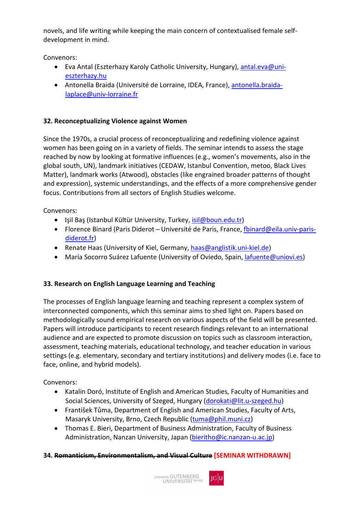novels, and life writing while keeping the main concern of contextualised female selfdevelopment in mind.

Convenors:

- Eva Antal (Eszterhazy Karoly Catholic University, Hungary), [antal.eva@uni](mailto:antal.eva@uni-eszterhazy.hu)[eszterhazy.hu](mailto:antal.eva@uni-eszterhazy.hu)
- Antonella Braida (Université de Lorraine, IDEA, France), [antonella.braida](mailto:antonella.braida-laplace@univ-lorraine.fr)[laplace@univ-lorraine.fr](mailto:antonella.braida-laplace@univ-lorraine.fr)

# **32. Reconceptualizing Violence against Women**

Since the 1970s, a crucial process of reconceptualizing and redefining violence against women has been going on in a variety of fields. The seminar intends to assess the stage reached by now by looking at formative influences (e.g., women's movements, also in the global south, UN), landmark initiatives (CEDAW, Istanbul Convention, metoo, Black Lives Matter), landmark works (Atwood), obstacles (like engrained broader patterns of thought and expression), systemic understandings, and the effects of a more comprehensive gender focus. Contributions from all sectors of English Studies welcome.

Convenors:

- Işil Baş (Istanbul Kültür University, Turkey, [isil@boun.edu.tr\)](mailto:isil@boun.edu.tr)
- Florence Binard (Paris Diderot Université de Paris, France[, fbinard@eila.univ-paris](mailto:fbinard@eila.univ-paris-diderot.fr)[diderot.fr\)](mailto:fbinard@eila.univ-paris-diderot.fr)
- Renate Haas (University of Kiel, Germany, [haas@anglistik.uni-kiel.de\)](mailto:haas@anglistik.uni-kiel.de)
- María Socorro Suárez Lafuente (University of Oviedo, Spain, *lafuente@uniovi.es)*

# **33. Research on English Language Learning and Teaching**

The processes of English language learning and teaching represent a complex system of interconnected components, which this seminar aims to shed light on. Papers based on methodologically sound empirical research on various aspects of the field will be presented. Papers will introduce participants to recent research findings relevant to an international audience and are expected to promote discussion on topics such as classroom interaction, assessment, teaching materials, educational technology, and teacher education in various settings (e.g. elementary, secondary and tertiary institutions) and delivery modes (i.e. face to face, online, and hybrid models).

Convenors:

- Katalin Doró, Institute of English and American Studies, Faculty of Humanities and Social Sciences, University of Szeged, Hungary [\(dorokati@lit.u-szeged.hu\)](mailto:dorokati@lit.u-szeged.hu)
- František Tůma, Department of English and American Studies, Faculty of Arts, Masaryk University, Brno, Czech Republic [\(tuma@phil.muni.cz\)](mailto:tuma@phil.muni.cz)
- Thomas E. Bieri, Department of Business Administration, Faculty of Business Administration, Nanzan University, Japan [\(bieritho@ic.nanzan-u.ac.jp\)](mailto:bieritho@ic.nanzan-u.ac.jp)

#### **34. Romanticism, Environmentalism, and Visual Culture [SEMINAR WITHDRAWN]**

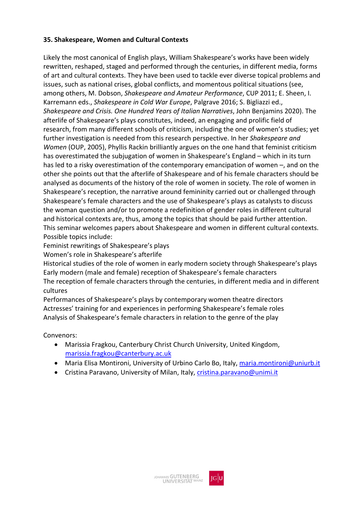#### **35. Shakespeare, Women and Cultural Contexts**

Likely the most canonical of English plays, William Shakespeare's works have been widely rewritten, reshaped, staged and performed through the centuries, in different media, forms of art and cultural contexts. They have been used to tackle ever diverse topical problems and issues, such as national crises, global conflicts, and momentous political situations (see, among others, M. Dobson, *Shakespeare and Amateur Performance*, CUP 2011; E. Sheen, I. Karremann eds., *Shakespeare in Cold War Europe*, Palgrave 2016; S. Bigliazzi ed., *Shakespeare and Crisis. One Hundred Years of Italian Narratives*, John Benjamins 2020). The afterlife of Shakespeare's plays constitutes, indeed, an engaging and prolific field of research, from many different schools of criticism, including the one of women's studies; yet further investigation is needed from this research perspective. In her *Shakespeare and Women* (OUP, 2005), Phyllis Rackin brilliantly argues on the one hand that feminist criticism has overestimated the subjugation of women in Shakespeare's England – which in its turn has led to a risky overestimation of the contemporary emancipation of women –, and on the other she points out that the afterlife of Shakespeare and of his female characters should be analysed as documents of the history of the role of women in society. The role of women in Shakespeare's reception, the narrative around femininity carried out or challenged through Shakespeare's female characters and the use of Shakespeare's plays as catalysts to discuss the woman question and/or to promote a redefinition of gender roles in different cultural and historical contexts are, thus, among the topics that should be paid further attention. This seminar welcomes papers about Shakespeare and women in different cultural contexts. Possible topics include:

Feminist rewritings of Shakespeare's plays

Women's role in Shakespeare's afterlife

Historical studies of the role of women in early modern society through Shakespeare's plays Early modern (male and female) reception of Shakespeare's female characters The reception of female characters through the centuries, in different media and in different cultures

Performances of Shakespeare's plays by contemporary women theatre directors Actresses' training for and experiences in performing Shakespeare's female roles Analysis of Shakespeare's female characters in relation to the genre of the play

- Marissia Fragkou, Canterbury Christ Church University, United Kingdom, [marissia.fragkou@canterbury.ac.uk](mailto:marissia.fragkou@canterbury.ac.uk)
- Maria Elisa Montironi, University of Urbino Carlo Bo, Italy, [maria.montironi@uniurb.it](mailto:maria.montironi@uniurb.it)
- Cristina Paravano, University of Milan, Italy, [cristina.paravano@unimi.it](mailto:cristina.paravano@unimi.it)

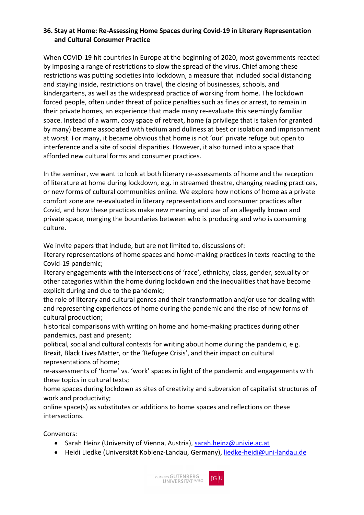#### **36. Stay at Home: Re-Assessing Home Spaces during Covid-19 in Literary Representation and Cultural Consumer Practice**

When COVID-19 hit countries in Europe at the beginning of 2020, most governments reacted by imposing a range of restrictions to slow the spread of the virus. Chief among these restrictions was putting societies into lockdown, a measure that included social distancing and staying inside, restrictions on travel, the closing of businesses, schools, and kindergartens, as well as the widespread practice of working from home. The lockdown forced people, often under threat of police penalties such as fines or arrest, to remain in their private homes, an experience that made many re-evaluate this seemingly familiar space. Instead of a warm, cosy space of retreat, home (a privilege that is taken for granted by many) became associated with tedium and dullness at best or isolation and imprisonment at worst. For many, it became obvious that home is not 'our' private refuge but open to interference and a site of social disparities. However, it also turned into a space that afforded new cultural forms and consumer practices.

In the seminar, we want to look at both literary re-assessments of home and the reception of literature at home during lockdown, e.g. in streamed theatre, changing reading practices, or new forms of cultural communities online. We explore how notions of home as a private comfort zone are re-evaluated in literary representations and consumer practices after Covid, and how these practices make new meaning and use of an allegedly known and private space, merging the boundaries between who is producing and who is consuming culture.

We invite papers that include, but are not limited to, discussions of:

literary representations of home spaces and home-making practices in texts reacting to the Covid-19 pandemic;

literary engagements with the intersections of 'race', ethnicity, class, gender, sexuality or other categories within the home during lockdown and the inequalities that have become explicit during and due to the pandemic;

the role of literary and cultural genres and their transformation and/or use for dealing with and representing experiences of home during the pandemic and the rise of new forms of cultural production;

historical comparisons with writing on home and home-making practices during other pandemics, past and present;

political, social and cultural contexts for writing about home during the pandemic, e.g. Brexit, Black Lives Matter, or the 'Refugee Crisis', and their impact on cultural representations of home;

re-assessments of 'home' vs. 'work' spaces in light of the pandemic and engagements with these topics in cultural texts;

home spaces during lockdown as sites of creativity and subversion of capitalist structures of work and productivity;

online space(s) as substitutes or additions to home spaces and reflections on these intersections.

- Sarah Heinz (University of Vienna, Austria), [sarah.heinz@univie.ac.at](mailto:sarah.heinz@univie.ac.at)
- Heidi Liedke (Universität Koblenz-Landau, Germany), [liedke-heidi@uni-landau.de](mailto:liedke-heidi@uni-landau.de)

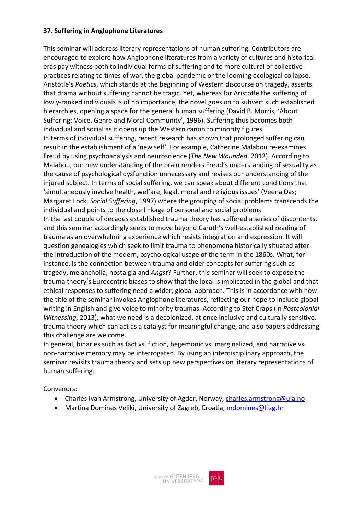#### **37. Suffering in Anglophone Literatures**

This seminar will address literary representations of human suffering. Contributors are encouraged to explore how Anglophone literatures from a variety of cultures and historical eras pay witness both to individual forms of suffering and to more cultural or collective practices relating to times of war, the global pandemic or the looming ecological collapse. Aristotle's *Poetics*, which stands at the beginning of Western discourse on tragedy, asserts that drama without suffering cannot be tragic. Yet, whereas for Aristotle the suffering of lowly-ranked individuals is of no importance, the novel goes on to subvert such established hierarchies, opening a space for the general human suffering (David B. Morris, 'About Suffering: Voice, Genre and Moral Community', 1996). Suffering thus becomes both individual and social as it opens up the Western canon to minority figures. In terms of individual suffering, recent research has shown that prolonged suffering can result in the establishment of a 'new self'. For example, Catherine Malabou re-examines Freud by using psychoanalysis and neuroscience (*The New Wounded*, 2012). According to Malabou, our new understanding of the brain renders Freud's understanding of sexuality as

the cause of psychological dysfunction unnecessary and revises our understanding of the injured subject. In terms of social suffering, we can speak about different conditions that 'simultaneously involve health, welfare, legal, moral and religious issues' (Veena Das; Margaret Lock, *Social Suffering*, 1997) where the grouping of social problems transcends the individual and points to the close linkage of personal and social problems.

In the last couple of decades established trauma theory has suffered a series of discontents, and this seminar accordingly seeks to move beyond Caruth's well-established reading of trauma as an overwhelming experience which resists integration and expression. It will question genealogies which seek to limit trauma to phenomena historically situated after the introduction of the modern, psychological usage of the term in the 1860s. What, for instance, is the connection between trauma and older concepts for suffering such as tragedy, melancholia, nostalgia and *Angst*? Further, this seminar will seek to expose the trauma theory's Eurocentric biases to show that the local is implicated in the global and that ethical responses to suffering need a wider, global approach. This is in accordance with how the title of the seminar invokes Anglophone literatures, reflecting our hope to include global writing in English and give voice to minority traumas. According to Stef Craps (in *Postcolonial Witnessing*, 2013), what we need is a decolonized, at once inclusive and culturally sensitive, trauma theory which can act as a catalyst for meaningful change, and also papers addressing this challenge are welcome.

In general, binaries such as fact vs. fiction, hegemonic vs. marginalized, and narrative vs. non-narrative memory may be interrogated. By using an interdisciplinary approach, the seminar revisits trauma theory and sets up new perspectives on literary representations of human suffering.

- Charles Ivan Armstrong, University of Agder, Norway, *charles.armstrong@uia.no*
- Martina Domines Veliki, University of Zagreb, Croatia[, mdomines@ffzg.hr](mailto:mdomines@ffzg.hr)

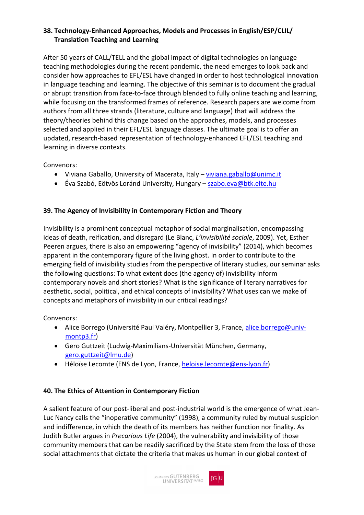### **38. Technology-Enhanced Approaches, Models and Processes in English/ESP/CLIL/ Translation Teaching and Learning**

After 50 years of CALL/TELL and the global impact of digital technologies on language teaching methodologies during the recent pandemic, the need emerges to look back and consider how approaches to EFL/ESL have changed in order to host technological innovation in language teaching and learning. The objective of this seminar is to document the gradual or abrupt transition from face-to-face through blended to fully online teaching and learning, while focusing on the transformed frames of reference. Research papers are welcome from authors from all three strands (literature, culture and language) that will address the theory/theories behind this change based on the approaches, models, and processes selected and applied in their EFL/ESL language classes. The ultimate goal is to offer an updated, research-based representation of technology-enhanced EFL/ESL teaching and learning in diverse contexts.

Convenors:

- Viviana Gaballo, University of Macerata, Italy – [viviana.gaballo@unimc.it](mailto:viviana.gaballo@unimc.it)
- Éva Szabó, Eötvös Loránd University, Hungary – [szabo.eva@btk.elte.hu](mailto:szabo.eva@btk.elte.hu)

#### **39. The Agency of Invisibility in Contemporary Fiction and Theory**

Invisibility is a prominent conceptual metaphor of social marginalisation, encompassing ideas of death, reification, and disregard (Le Blanc, *L'invisibilité sociale*, 2009). Yet, Esther Peeren argues, there is also an empowering "agency of invisibility" (2014), which becomes apparent in the contemporary figure of the living ghost. In order to contribute to the emerging field of invisibility studies from the perspective of literary studies, our seminar asks the following questions: To what extent does (the agency of) invisibility inform contemporary novels and short stories? What is the significance of literary narratives for aesthetic, social, political, and ethical concepts of invisibility? What uses can we make of concepts and metaphors of invisibility in our critical readings?

Convenors:

- Alice Borrego (Université Paul Valéry, Montpellier 3, France, [alice.borrego@univ](mailto:alice.borrego@univ-montp3.fr)[montp3.fr\)](mailto:alice.borrego@univ-montp3.fr)
- Gero Guttzeit (Ludwig-Maximilians-Universität München, Germany, [gero.guttzeit@lmu.de\)](mailto:gero.guttzeit@lmu.de)
- Héloïse Lecomte (ENS de Lyon, France, [heloise.lecomte@ens-lyon.fr\)](mailto:heloise.lecomte@ens-lyon.fr)

#### **40. The Ethics of Attention in Contemporary Fiction**

A salient feature of our post-liberal and post-industrial world is the emergence of what Jean-Luc Nancy calls the "inoperative community" (1998), a community ruled by mutual suspicion and indifference, in which the death of its members has neither function nor finality. As Judith Butler argues in *Precarious Life* (2004), the vulnerability and invisibility of those community members that can be readily sacrificed by the State stem from the loss of those social attachments that dictate the criteria that makes us human in our global context of

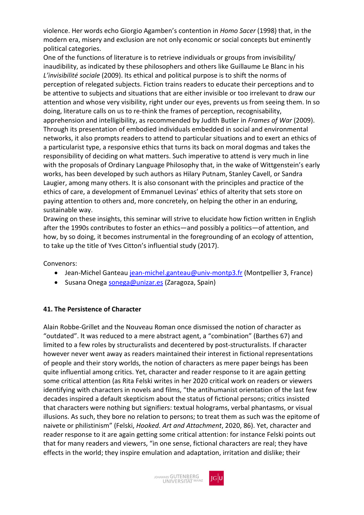violence. Her words echo Giorgio Agamben's contention in *Homo Sacer* (1998) that, in the modern era, misery and exclusion are not only economic or social concepts but eminently political categories.

One of the functions of literature is to retrieve individuals or groups from invisibility/ inaudibility, as indicated by these philosophers and others like Guillaume Le Blanc in his *L'invisibilité sociale* (2009). Its ethical and political purpose is to shift the norms of perception of relegated subjects. Fiction trains readers to educate their perceptions and to be attentive to subjects and situations that are either invisible or too irrelevant to draw our attention and whose very visibility, right under our eyes, prevents us from seeing them. In so doing, literature calls on us to re-think the frames of perception, recognisability, apprehension and intelligibility, as recommended by Judith Butler in *Frames of War* (2009). Through its presentation of embodied individuals embedded in social and environmental networks, it also prompts readers to attend to particular situations and to exert an ethics of a particularist type, a responsive ethics that turns its back on moral dogmas and takes the responsibility of deciding on what matters. Such imperative to attend is very much in line with the proposals of Ordinary Language Philosophy that, in the wake of Wittgenstein's early works, has been developed by such authors as Hilary Putnam, Stanley Cavell, or Sandra Laugier, among many others. It is also consonant with the principles and practice of the ethics of care, a development of Emmanuel Levinas' ethics of alterity that sets store on paying attention to others and, more concretely, on helping the other in an enduring, sustainable way.

Drawing on these insights, this seminar will strive to elucidate how fiction written in English after the 1990s contributes to foster an ethics—and possibly a politics—of attention, and how, by so doing, it becomes instrumental in the foregrounding of an ecology of attention, to take up the title of Yves Citton's influential study (2017).

Convenors:

- Jean-Michel Ganteau [jean-michel.ganteau@univ-montp3.fr](mailto:jean-michel.ganteau@univ-montp3.fr) (Montpellier 3, France)
- Susana Onega [sonega@unizar.es](mailto:sonega@unizar.es) (Zaragoza, Spain)

#### **41. The Persistence of Character**

Alain Robbe-Grillet and the Nouveau Roman once dismissed the notion of character as "outdated". It was reduced to a mere abstract agent, a "combination" (Barthes 67) and limited to a few roles by structuralists and decentered by post-structuralists. If character however never went away as readers maintained their interest in fictional representations of people and their story worlds, the notion of characters as mere paper beings has been quite influential among critics. Yet, character and reader response to it are again getting some critical attention (as Rita Felski writes in her 2020 critical work on readers or viewers identifying with characters in novels and films, "the antihumanist orientation of the last few decades inspired a default skepticism about the status of fictional persons; critics insisted that characters were nothing but signifiers: textual holograms, verbal phantasms, or visual illusions. As such, they bore no relation to persons; to treat them as such was the epitome of naivete or philistinism" (Felski, *Hooked. Art and Attachment*, 2020, 86). Yet, character and reader response to it are again getting some critical attention: for instance Felski points out that for many readers and viewers, "in one sense, fictional characters are real; they have effects in the world; they inspire emulation and adaptation, irritation and dislike; their

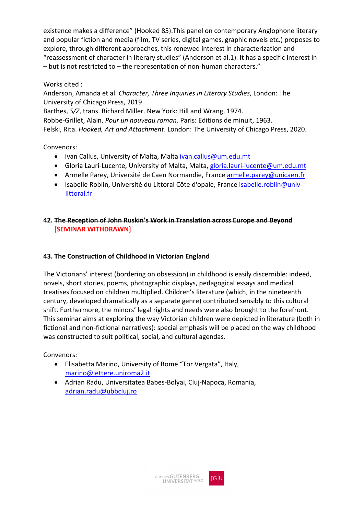existence makes a difference" (Hooked 85).This panel on contemporary Anglophone literary and popular fiction and media (film, TV series, digital games, graphic novels etc.) proposes to explore, through different approaches, this renewed interest in characterization and "reassessment of character in literary studies" (Anderson et al.1). It has a specific interest in – but is not restricted to – the representation of non-human characters."

#### Works cited :

Anderson, Amanda et al. *Character, Three Inquiries in Literary Studies*, London: The University of Chicago Press, 2019.

Barthes, *S/Z*, trans. Richard Miller. New York: Hill and Wrang, 1974.

Robbe-Grillet, Alain. *Pour un nouveau roman*. Paris: Editions de minuit, 1963. Felski, Rita. *Hooked, Art and Attachment*. London: The University of Chicago Press, 2020.

Convenors:

- Ivan Callus, University of Malta, Malta *ivan.callus@um.edu.mt*
- Gloria Lauri-Lucente, University of Malta, Malta[, gloria.lauri-lucente@um.edu.mt](mailto:gloria.lauri-lucente@um.edu.mt)
- Armelle Parey, Université de Caen Normandie, France [armelle.parey@unicaen.fr](mailto:armelle.parey@unicaen.fr)
- Isabelle Roblin, Université du Littoral Côte d'opale, France [isabelle.roblin@univ](mailto:isabelle.roblin@univ-littoral.fr)[littoral.fr](mailto:isabelle.roblin@univ-littoral.fr)

#### **42. The Reception of John Ruskin's Work in Translation across Europe and Beyond [SEMINAR WITHDRAWN]**

## **43. The Construction of Childhood in Victorian England**

The Victorians' interest (bordering on obsession) in childhood is easily discernible: indeed, novels, short stories, poems, photographic displays, pedagogical essays and medical treatises focused on children multiplied. Children's literature (which, in the nineteenth century, developed dramatically as a separate genre) contributed sensibly to this cultural shift. Furthermore, the minors' legal rights and needs were also brought to the forefront. This seminar aims at exploring the way Victorian children were depicted in literature (both in fictional and non-fictional narratives): special emphasis will be placed on the way childhood was constructed to suit political, social, and cultural agendas.

- Elisabetta Marino, University of Rome "Tor Vergata", Italy, [marino@lettere.uniroma2.it](mailto:marino@lettere.uniroma2.it)
- Adrian Radu, Universitatea Babes-Bolyai, Cluj-Napoca, Romania, [adrian.radu@ubbcluj.ro](mailto:adrian.radu@ubbcluj.ro)

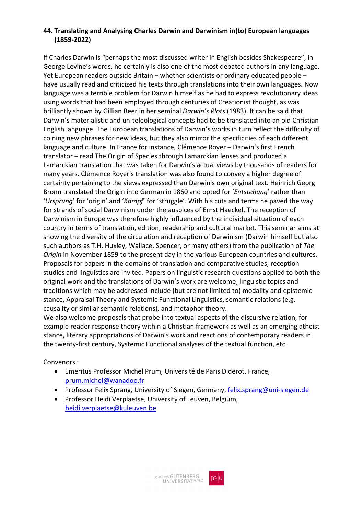#### **44. Translating and Analysing Charles Darwin and Darwinism in(to) European languages (1859-2022)**

If Charles Darwin is "perhaps the most discussed writer in English besides Shakespeare", in George Levine's words, he certainly is also one of the most debated authors in any language. Yet European readers outside Britain – whether scientists or ordinary educated people – have usually read and criticized his texts through translations into their own languages. Now language was a terrible problem for Darwin himself as he had to express revolutionary ideas using words that had been employed through centuries of Creationist thought, as was brilliantly shown by Gillian Beer in her seminal *Darwin's Plots* (1983). It can be said that Darwin's materialistic and un-teleological concepts had to be translated into an old Christian English language. The European translations of Darwin's works in turn reflect the difficulty of coining new phrases for new ideas, but they also mirror the specificities of each different language and culture. In France for instance, Clémence Royer – Darwin's first French translator ‒ read The Origin of Species through Lamarckian lenses and produced a Lamarckian translation that was taken for Darwin's actual views by thousands of readers for many years. Clémence Royer's translation was also found to convey a higher degree of certainty pertaining to the views expressed than Darwin's own original text. Heinrich Georg Bronn translated the Origin into German in 1860 and opted for '*Entstehung*' rather than '*Ursprung*' for 'origin' and '*Kampf*' for 'struggle'. With his cuts and terms he paved the way for strands of social Darwinism under the auspices of Ernst Haeckel. The reception of Darwinism in Europe was therefore highly influenced by the individual situation of each country in terms of translation, edition, readership and cultural market. This seminar aims at showing the diversity of the circulation and reception of Darwinism (Darwin himself but also such authors as T.H. Huxley, Wallace, Spencer, or many others) from the publication of *The Origin* in November 1859 to the present day in the various European countries and cultures. Proposals for papers in the domains of translation and comparative studies, reception studies and linguistics are invited. Papers on linguistic research questions applied to both the original work and the translations of Darwin's work are welcome; linguistic topics and traditions which may be addressed include (but are not limited to) modality and epistemic stance, Appraisal Theory and Systemic Functional Linguistics, semantic relations (e.g. causality or similar semantic relations), and metaphor theory.

We also welcome proposals that probe into textual aspects of the discursive relation, for example reader response theory within a Christian framework as well as an emerging atheist stance, literary appropriations of Darwin's work and reactions of contemporary readers in the twenty-first century, Systemic Functional analyses of the textual function, etc.

- Emeritus Professor Michel Prum, Université de Paris Diderot, France, [prum.michel@wanadoo.fr](mailto:prum.michel@wanadoo.fr)
- Professor Felix Sprang, University of Siegen, Germany, [felix.sprang@uni-siegen.de](mailto:felix.sprang@uni-siegen.de)
- Professor Heidi Verplaetse, University of Leuven, Belgium, [heidi.verplaetse@kuleuven.be](mailto:heidi.verplaetse@kuleuven.be)

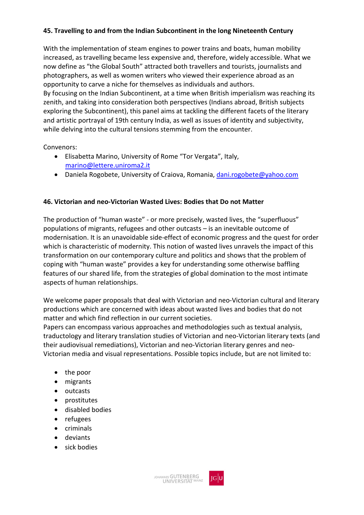#### **45. Travelling to and from the Indian Subcontinent in the long Nineteenth Century**

With the implementation of steam engines to power trains and boats, human mobility increased, as travelling became less expensive and, therefore, widely accessible. What we now define as "the Global South" attracted both travellers and tourists, journalists and photographers, as well as women writers who viewed their experience abroad as an opportunity to carve a niche for themselves as individuals and authors. By focusing on the Indian Subcontinent, at a time when British imperialism was reaching its zenith, and taking into consideration both perspectives (Indians abroad, British subjects exploring the Subcontinent), this panel aims at tackling the different facets of the literary and artistic portrayal of 19th century India, as well as issues of identity and subjectivity, while delving into the cultural tensions stemming from the encounter.

Convenors:

- Elisabetta Marino, University of Rome "Tor Vergata", Italy, [marino@lettere.uniroma2.it](mailto:marino@lettere.uniroma2.it)
- Daniela Rogobete, University of Craiova, Romania, [dani.rogobete@yahoo.com](mailto:dani.rogobete@yahoo.com)

#### **46. Victorian and neo-Victorian Wasted Lives: Bodies that Do not Matter**

The production of "human waste" - or more precisely, wasted lives, the "superfluous" populations of migrants, refugees and other outcasts – is an inevitable outcome of modernisation. It is an unavoidable side-effect of economic progress and the quest for order which is characteristic of modernity. This notion of wasted lives unravels the impact of this transformation on our contemporary culture and politics and shows that the problem of coping with "human waste" provides a key for understanding some otherwise baffling features of our shared life, from the strategies of global domination to the most intimate aspects of human relationships.

We welcome paper proposals that deal with Victorian and neo-Victorian cultural and literary productions which are concerned with ideas about wasted lives and bodies that do not matter and which find reflection in our current societies.

Papers can encompass various approaches and methodologies such as textual analysis, traductology and literary translation studies of Victorian and neo-Victorian literary texts (and their audiovisual remediations), Victorian and neo-Victorian literary genres and neo-Victorian media and visual representations. Possible topics include, but are not limited to:

- the poor
- migrants
- outcasts
- prostitutes
- disabled bodies
- refugees
- criminals
- deviants
- sick bodies